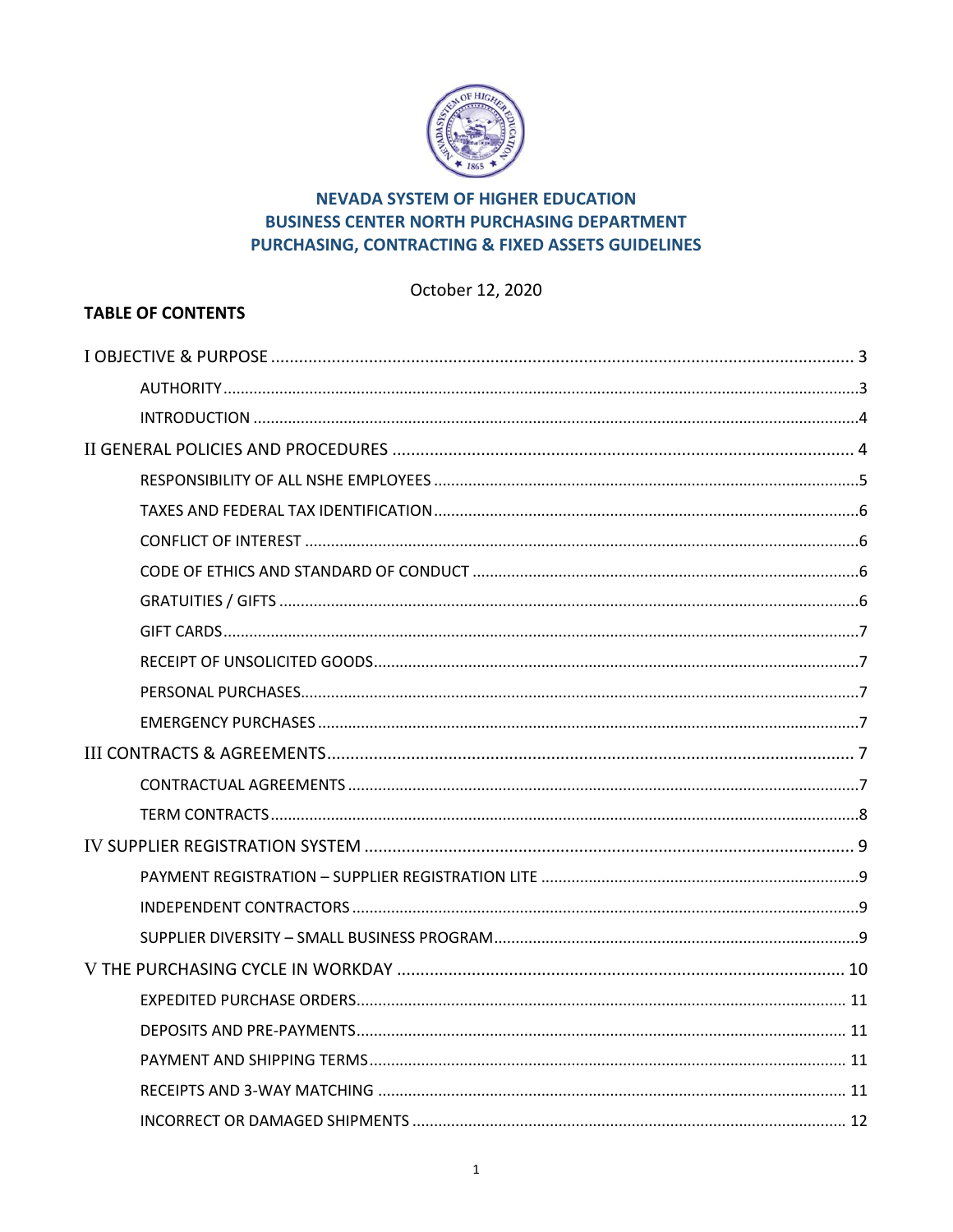

# **NEVADA SYSTEM OF HIGHER EDUCATION BUSINESS CENTER NORTH PURCHASING DEPARTMENT** PURCHASING, CONTRACTING & FIXED ASSETS GUIDELINES

# October 12, 2020

# **TABLE OF CONTENTS**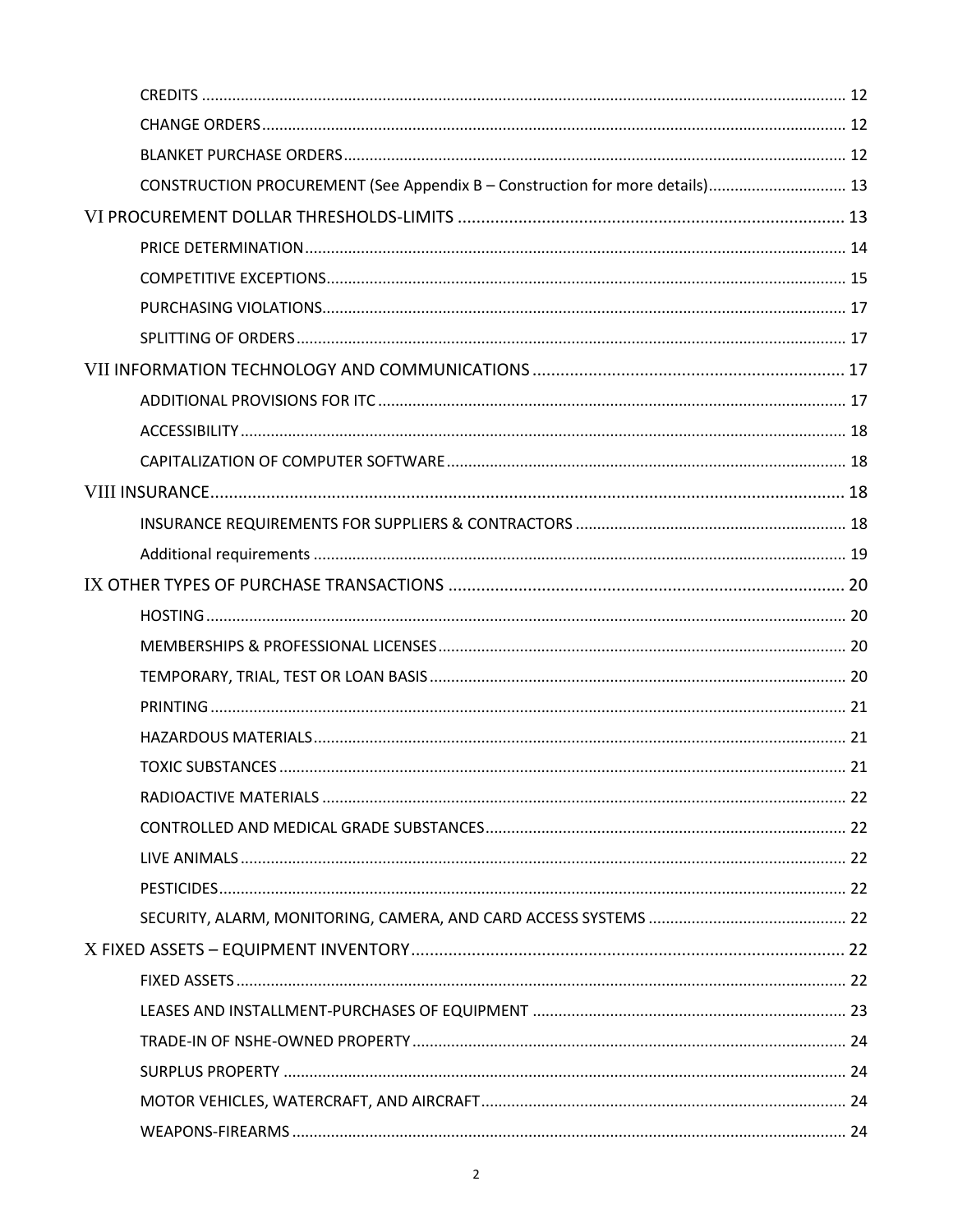|  | CONSTRUCTION PROCUREMENT (See Appendix B - Construction for more details) 13 |  |
|--|------------------------------------------------------------------------------|--|
|  |                                                                              |  |
|  |                                                                              |  |
|  |                                                                              |  |
|  |                                                                              |  |
|  |                                                                              |  |
|  |                                                                              |  |
|  |                                                                              |  |
|  |                                                                              |  |
|  |                                                                              |  |
|  |                                                                              |  |
|  |                                                                              |  |
|  |                                                                              |  |
|  |                                                                              |  |
|  |                                                                              |  |
|  |                                                                              |  |
|  |                                                                              |  |
|  |                                                                              |  |
|  |                                                                              |  |
|  |                                                                              |  |
|  |                                                                              |  |
|  |                                                                              |  |
|  |                                                                              |  |
|  |                                                                              |  |
|  |                                                                              |  |
|  |                                                                              |  |
|  |                                                                              |  |
|  |                                                                              |  |
|  |                                                                              |  |
|  |                                                                              |  |
|  |                                                                              |  |
|  |                                                                              |  |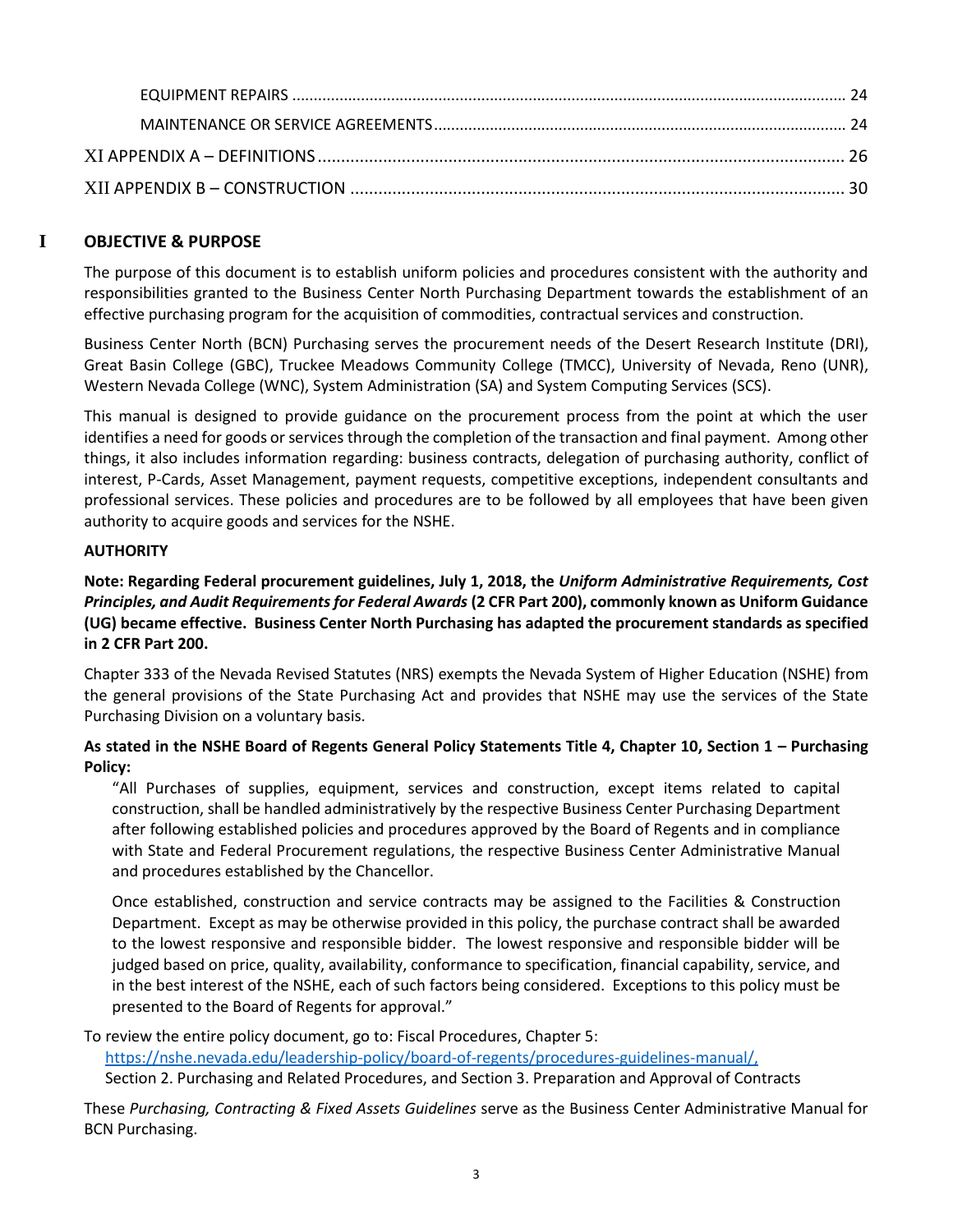# **I OBJECTIVE & PURPOSE**

<span id="page-2-0"></span>The purpose of this document is to establish uniform policies and procedures consistent with the authority and responsibilities granted to the Business Center North Purchasing Department towards the establishment of an effective purchasing program for the acquisition of commodities, contractual services and construction.

Business Center North (BCN) Purchasing serves the procurement needs of the Desert Research Institute (DRI), Great Basin College (GBC), Truckee Meadows Community College (TMCC), University of Nevada, Reno (UNR), Western Nevada College (WNC), System Administration (SA) and System Computing Services (SCS).

This manual is designed to provide guidance on the procurement process from the point at which the user identifies a need for goods or services through the completion of the transaction and final payment. Among other things, it also includes information regarding: business contracts, delegation of purchasing authority, conflict of interest, P-Cards, Asset Management, payment requests, competitive exceptions, independent consultants and professional services. These policies and procedures are to be followed by all employees that have been given authority to acquire goods and services for the NSHE.

## <span id="page-2-1"></span>**AUTHORITY**

**Note: Regarding Federal procurement guidelines, July 1, 2018, the** *Uniform Administrative Requirements, Cost Principles, and Audit Requirements for Federal Awards* **(2 CFR Part 200), commonly known as Uniform Guidance (UG) became effective. Business Center North Purchasing has adapted the procurement standards as specified in 2 CFR Part 200.** 

Chapter 333 of the Nevada Revised Statutes (NRS) exempts the Nevada System of Higher Education (NSHE) from the general provisions of the State Purchasing Act and provides that NSHE may use the services of the State Purchasing Division on a voluntary basis.

# **As stated in the NSHE Board of Regents General Policy Statements Title 4, Chapter 10, Section 1 – Purchasing Policy:**

"All Purchases of supplies, equipment, services and construction, except items related to capital construction, shall be handled administratively by the respective Business Center Purchasing Department after following established policies and procedures approved by the Board of Regents and in compliance with State and Federal Procurement regulations, the respective Business Center Administrative Manual and procedures established by the Chancellor.

Once established, construction and service contracts may be assigned to the Facilities & Construction Department. Except as may be otherwise provided in this policy, the purchase contract shall be awarded to the lowest responsive and responsible bidder. The lowest responsive and responsible bidder will be judged based on price, quality, availability, conformance to specification, financial capability, service, and in the best interest of the NSHE, each of such factors being considered. Exceptions to this policy must be presented to the Board of Regents for approval."

To review the entire policy document, go to: Fiscal Procedures, Chapter 5:

[https://nshe.nevada.edu/leadership-policy/board-of-regents/procedures-guidelines-manual/,](https://nshe.nevada.edu/leadership-policy/board-of-regents/procedures-guidelines-manual/)

Section 2. Purchasing and Related Procedures, and Section 3. Preparation and Approval of Contracts

These *Purchasing, Contracting & Fixed Assets Guidelines* serve as the Business Center Administrative Manual for BCN Purchasing.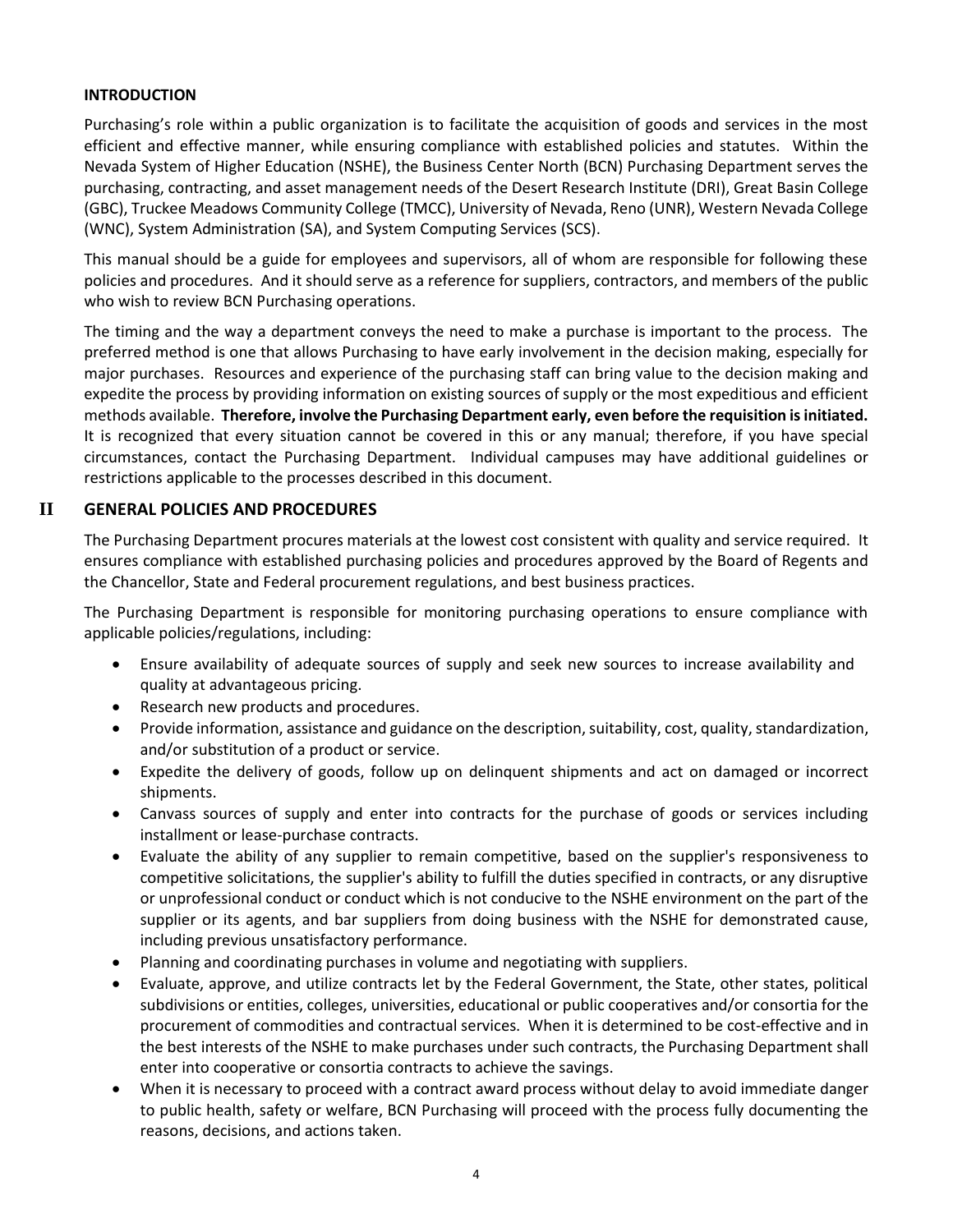# <span id="page-3-0"></span>**INTRODUCTION**

Purchasing's role within a public organization is to facilitate the acquisition of goods and services in the most efficient and effective manner, while ensuring compliance with established policies and statutes. Within the Nevada System of Higher Education (NSHE), the Business Center North (BCN) Purchasing Department serves the purchasing, contracting, and asset management needs of the Desert Research Institute (DRI), Great Basin College (GBC), Truckee Meadows Community College (TMCC), University of Nevada, Reno (UNR), Western Nevada College (WNC), System Administration (SA), and System Computing Services (SCS).

This manual should be a guide for employees and supervisors, all of whom are responsible for following these policies and procedures. And it should serve as a reference for suppliers, contractors, and members of the public who wish to review BCN Purchasing operations.

The timing and the way a department conveys the need to make a purchase is important to the process. The preferred method is one that allows Purchasing to have early involvement in the decision making, especially for major purchases. Resources and experience of the purchasing staff can bring value to the decision making and expedite the process by providing information on existing sources of supply or the most expeditious and efficient methods available. **Therefore, involve the Purchasing Department early, even before the requisition is initiated.** It is recognized that every situation cannot be covered in this or any manual; therefore, if you have special circumstances, contact the Purchasing Department. Individual campuses may have additional guidelines or restrictions applicable to the processes described in this document.

# **II GENERAL POLICIES AND PROCEDURES**

<span id="page-3-1"></span>The Purchasing Department procures materials at the lowest cost consistent with quality and service required. It ensures compliance with established purchasing policies and procedures approved by the Board of Regents and the Chancellor, State and Federal procurement regulations, and best business practices.

The Purchasing Department is responsible for monitoring purchasing operations to ensure compliance with applicable policies/regulations, including:

- Ensure availability of adequate sources of supply and seek new sources to increase availability and quality at advantageous pricing.
- Research new products and procedures.
- Provide information, assistance and guidance on the description, suitability, cost, quality, standardization, and/or substitution of a product or service.
- Expedite the delivery of goods, follow up on delinquent shipments and act on damaged or incorrect shipments.
- Canvass sources of supply and enter into contracts for the purchase of goods or services including installment or lease-purchase contracts.
- Evaluate the ability of any supplier to remain competitive, based on the supplier's responsiveness to competitive solicitations, the supplier's ability to fulfill the duties specified in contracts, or any disruptive or unprofessional conduct or conduct which is not conducive to the NSHE environment on the part of the supplier or its agents, and bar suppliers from doing business with the NSHE for demonstrated cause, including previous unsatisfactory performance.
- Planning and coordinating purchases in volume and negotiating with suppliers.
- Evaluate, approve, and utilize contracts let by the Federal Government, the State, other states, political subdivisions or entities, colleges, universities, educational or public cooperatives and/or consortia for the procurement of commodities and contractual services. When it is determined to be cost-effective and in the best interests of the NSHE to make purchases under such contracts, the Purchasing Department shall enter into cooperative or consortia contracts to achieve the savings.
- When it is necessary to proceed with a contract award process without delay to avoid immediate danger to public health, safety or welfare, BCN Purchasing will proceed with the process fully documenting the reasons, decisions, and actions taken.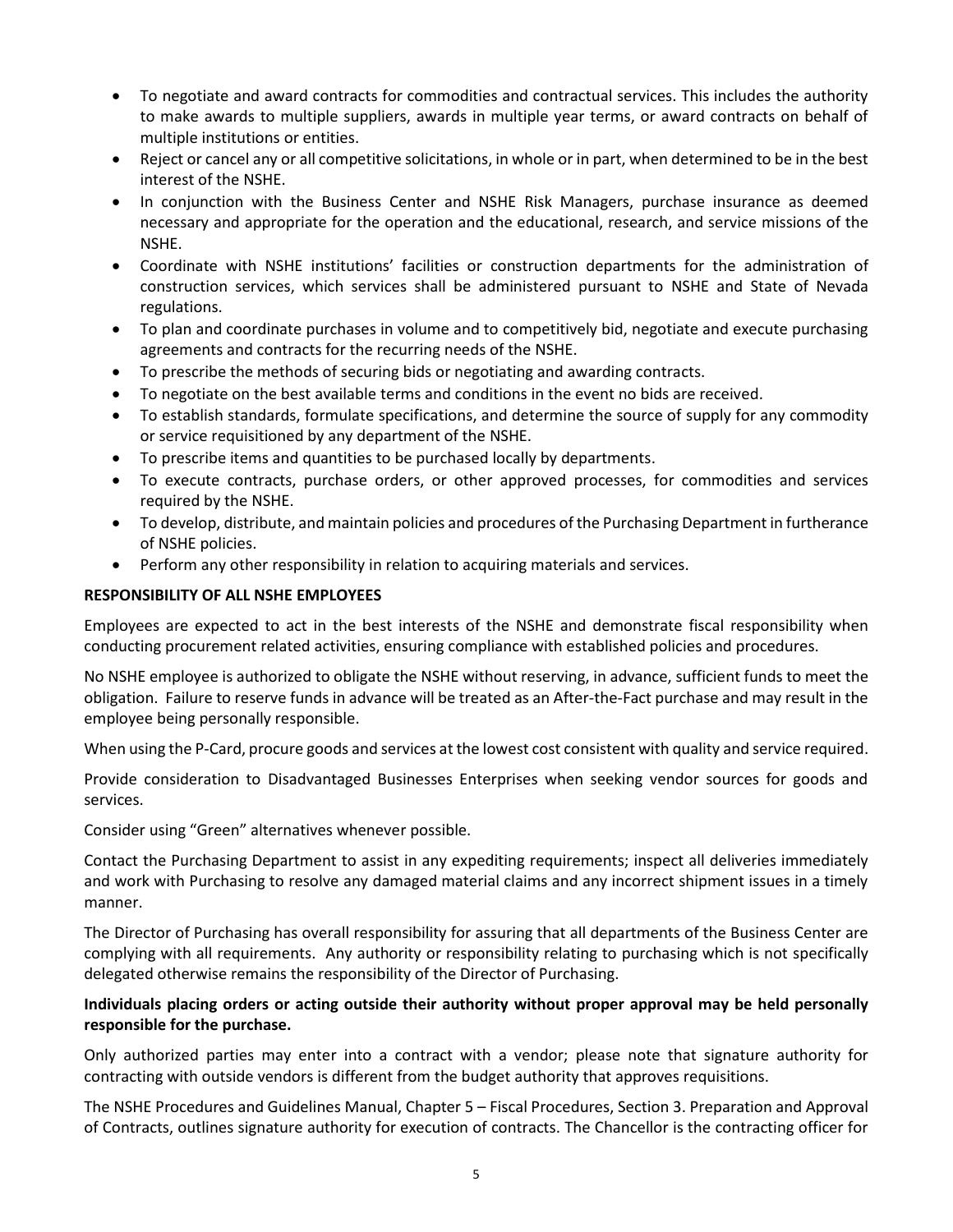- To negotiate and award contracts for commodities and contractual services. This includes the authority to make awards to multiple suppliers, awards in multiple year terms, or award contracts on behalf of multiple institutions or entities.
- Reject or cancel any or all competitive solicitations, in whole or in part, when determined to be in the best interest of the NSHE.
- In conjunction with the Business Center and NSHE Risk Managers, purchase insurance as deemed necessary and appropriate for the operation and the educational, research, and service missions of the NSHE.
- Coordinate with NSHE institutions' facilities or construction departments for the administration of construction services, which services shall be administered pursuant to NSHE and State of Nevada regulations.
- To plan and coordinate purchases in volume and to competitively bid, negotiate and execute purchasing agreements and contracts for the recurring needs of the NSHE.
- To prescribe the methods of securing bids or negotiating and awarding contracts.
- To negotiate on the best available terms and conditions in the event no bids are received.
- To establish standards, formulate specifications, and determine the source of supply for any commodity or service requisitioned by any department of the NSHE.
- To prescribe items and quantities to be purchased locally by departments.
- To execute contracts, purchase orders, or other approved processes, for commodities and services required by the NSHE.
- To develop, distribute, and maintain policies and procedures of the Purchasing Department in furtherance of NSHE policies.
- Perform any other responsibility in relation to acquiring materials and services.

## <span id="page-4-0"></span>**RESPONSIBILITY OF ALL NSHE EMPLOYEES**

Employees are expected to act in the best interests of the NSHE and demonstrate fiscal responsibility when conducting procurement related activities, ensuring compliance with established policies and procedures.

No NSHE employee is authorized to obligate the NSHE without reserving, in advance, sufficient funds to meet the obligation. Failure to reserve funds in advance will be treated as an After-the-Fact purchase and may result in the employee being personally responsible.

When using the P-Card, procure goods and services at the lowest cost consistent with quality and service required.

Provide consideration to Disadvantaged Businesses Enterprises when seeking vendor sources for goods and services.

Consider using "Green" alternatives whenever possible.

Contact the Purchasing Department to assist in any expediting requirements; inspect all deliveries immediately and work with Purchasing to resolve any damaged material claims and any incorrect shipment issues in a timely manner.

The Director of Purchasing has overall responsibility for assuring that all departments of the Business Center are complying with all requirements. Any authority or responsibility relating to purchasing which is not specifically delegated otherwise remains the responsibility of the Director of Purchasing.

## **Individuals placing orders or acting outside their authority without proper approval may be held personally responsible for the purchase.**

Only authorized parties may enter into a contract with a vendor; please note that signature authority for contracting with outside vendors is different from the budget authority that approves requisitions.

The NSHE Procedures and Guidelines Manual, Chapter 5 – Fiscal Procedures, Section 3. Preparation and Approval of Contracts, outlines signature authority for execution of contracts. The Chancellor is the contracting officer for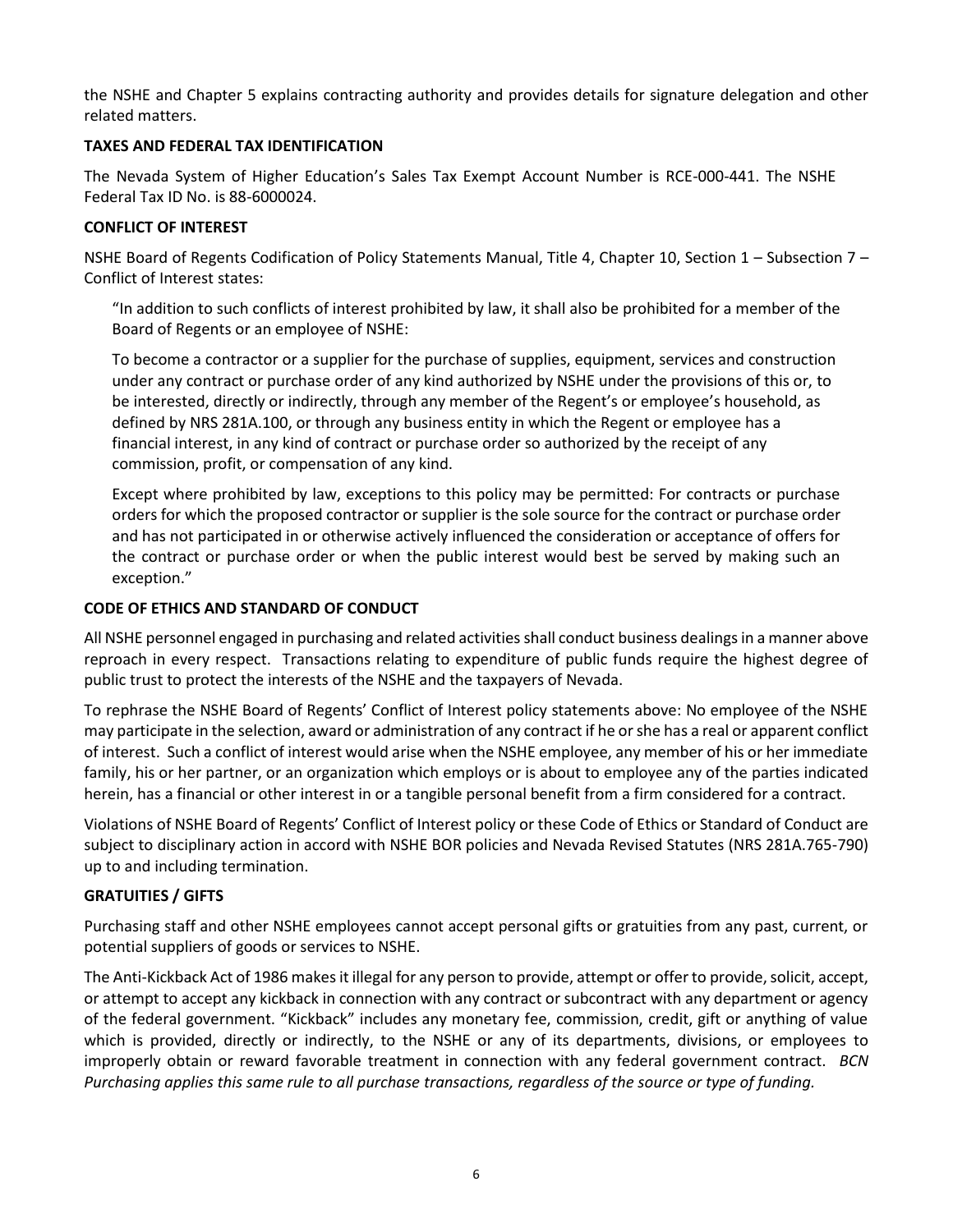the NSHE and Chapter 5 explains contracting authority and provides details for signature delegation and other related matters.

# <span id="page-5-0"></span>**TAXES AND FEDERAL TAX IDENTIFICATION**

The Nevada System of Higher Education's Sales Tax Exempt Account Number is RCE-000-441. The NSHE Federal Tax ID No. is 88-6000024.

# <span id="page-5-1"></span>**CONFLICT OF INTEREST**

NSHE Board of Regents Codification of Policy Statements Manual, Title 4, Chapter 10, Section 1 – Subsection 7 – Conflict of Interest states:

"In addition to such conflicts of interest prohibited by law, it shall also be prohibited for a member of the Board of Regents or an employee of NSHE:

To become a contractor or a supplier for the purchase of supplies, equipment, services and construction under any contract or purchase order of any kind authorized by NSHE under the provisions of this or, to be interested, directly or indirectly, through any member of the Regent's or employee's household, as defined by NRS 281A.100, or through any business entity in which the Regent or employee has a financial interest, in any kind of contract or purchase order so authorized by the receipt of any commission, profit, or compensation of any kind.

Except where prohibited by law, exceptions to this policy may be permitted: For contracts or purchase orders for which the proposed contractor or supplier is the sole source for the contract or purchase order and has not participated in or otherwise actively influenced the consideration or acceptance of offers for the contract or purchase order or when the public interest would best be served by making such an exception."

### <span id="page-5-2"></span>**CODE OF ETHICS AND STANDARD OF CONDUCT**

All NSHE personnel engaged in purchasing and related activities shall conduct business dealings in a manner above reproach in every respect. Transactions relating to expenditure of public funds require the highest degree of public trust to protect the interests of the NSHE and the taxpayers of Nevada.

To rephrase the NSHE Board of Regents' Conflict of Interest policy statements above: No employee of the NSHE may participate in the selection, award or administration of any contract if he or she has a real or apparent conflict of interest. Such a conflict of interest would arise when the NSHE employee, any member of his or her immediate family, his or her partner, or an organization which employs or is about to employee any of the parties indicated herein, has a financial or other interest in or a tangible personal benefit from a firm considered for a contract.

Violations of NSHE Board of Regents' Conflict of Interest policy or these Code of Ethics or Standard of Conduct are subject to disciplinary action in accord with NSHE BOR policies and Nevada Revised Statutes (NRS 281A.765-790) up to and including termination.

# <span id="page-5-3"></span>**GRATUITIES / GIFTS**

Purchasing staff and other NSHE employees cannot accept personal gifts or gratuities from any past, current, or potential suppliers of goods or services to NSHE.

The Anti-Kickback Act of 1986 makes it illegal for any person to provide, attempt or offer to provide, solicit, accept, or attempt to accept any kickback in connection with any contract or subcontract with any department or agency of the federal government. "Kickback" includes any monetary fee, commission, credit, gift or anything of value which is provided, directly or indirectly, to the NSHE or any of its departments, divisions, or employees to improperly obtain or reward favorable treatment in connection with any federal government contract. *BCN Purchasing applies this same rule to all purchase transactions, regardless of the source or type of funding.*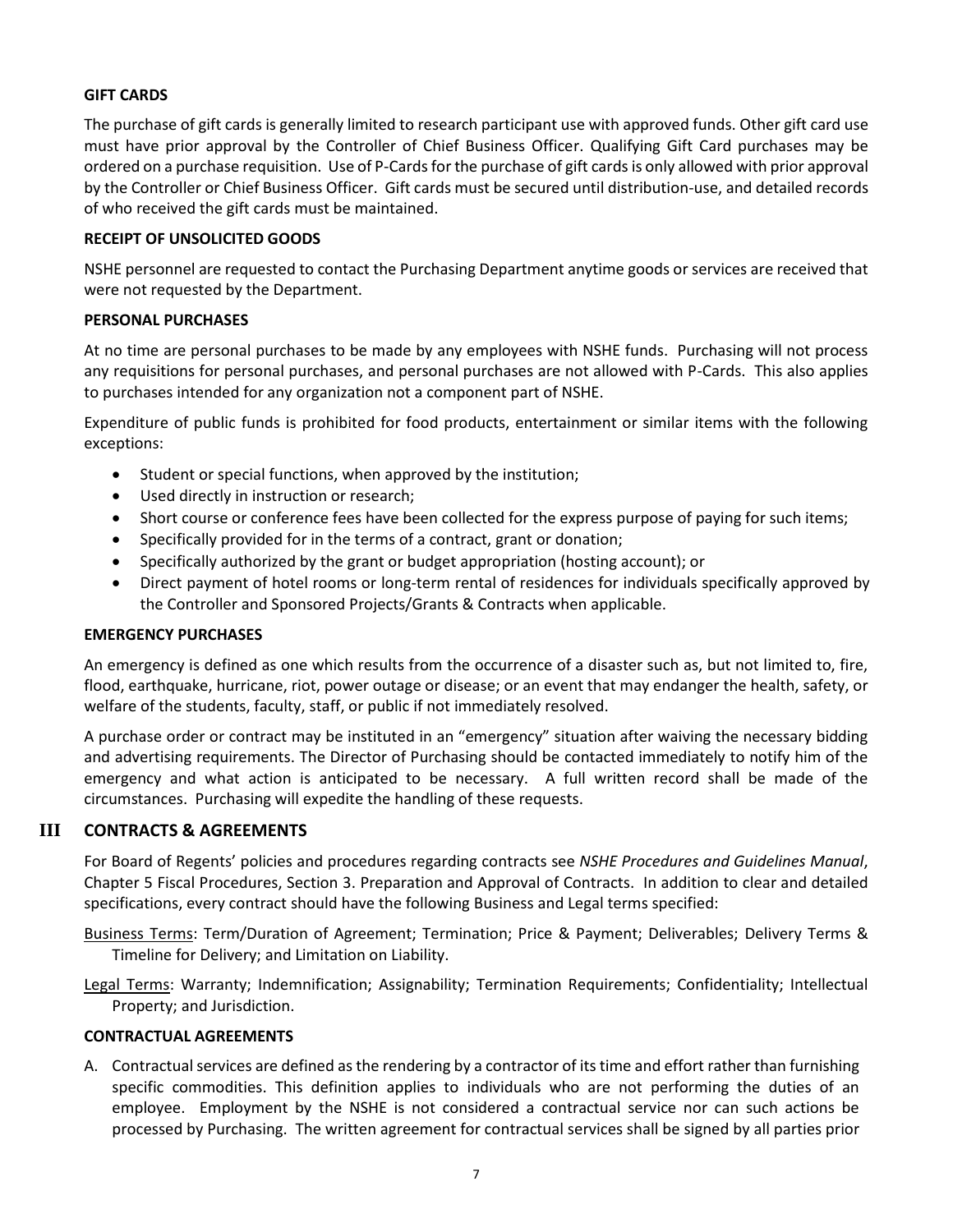### <span id="page-6-0"></span>**GIFT CARDS**

The purchase of gift cards is generally limited to research participant use with approved funds. Other gift card use must have prior approval by the Controller of Chief Business Officer. Qualifying Gift Card purchases may be ordered on a purchase requisition. Use of P-Cards for the purchase of gift cardsis only allowed with prior approval by the Controller or Chief Business Officer. Gift cards must be secured until distribution-use, and detailed records of who received the gift cards must be maintained.

#### <span id="page-6-1"></span>**RECEIPT OF UNSOLICITED GOODS**

NSHE personnel are requested to contact the Purchasing Department anytime goods or services are received that were not requested by the Department.

#### <span id="page-6-2"></span>**PERSONAL PURCHASES**

At no time are personal purchases to be made by any employees with NSHE funds. Purchasing will not process any requisitions for personal purchases, and personal purchases are not allowed with P-Cards. This also applies to purchases intended for any organization not a component part of NSHE.

Expenditure of public funds is prohibited for food products, entertainment or similar items with the following exceptions:

- Student or special functions, when approved by the institution;
- Used directly in instruction or research;
- Short course or conference fees have been collected for the express purpose of paying for such items;
- Specifically provided for in the terms of a contract, grant or donation;
- Specifically authorized by the grant or budget appropriation (hosting account); or
- Direct payment of hotel rooms or long-term rental of residences for individuals specifically approved by the Controller and Sponsored Projects/Grants & Contracts when applicable.

#### <span id="page-6-3"></span>**EMERGENCY PURCHASES**

An emergency is defined as one which results from the occurrence of a disaster such as, but not limited to, fire, flood, earthquake, hurricane, riot, power outage or disease; or an event that may endanger the health, safety, or welfare of the students, faculty, staff, or public if not immediately resolved.

A purchase order or contract may be instituted in an "emergency" situation after waiving the necessary bidding and advertising requirements. The Director of Purchasing should be contacted immediately to notify him of the emergency and what action is anticipated to be necessary. A full written record shall be made of the circumstances. Purchasing will expedite the handling of these requests.

### **III CONTRACTS & AGREEMENTS**

<span id="page-6-4"></span>For Board of Regents' policies and procedures regarding contracts see *NSHE Procedures and Guidelines Manual*, Chapter 5 Fiscal Procedures, Section 3. Preparation and Approval of Contracts. In addition to clear and detailed specifications, every contract should have the following Business and Legal terms specified:

Business Terms: Term/Duration of Agreement; Termination; Price & Payment; Deliverables; Delivery Terms & Timeline for Delivery; and Limitation on Liability.

Legal Terms: Warranty; Indemnification; Assignability; Termination Requirements; Confidentiality; Intellectual Property; and Jurisdiction.

#### <span id="page-6-5"></span>**CONTRACTUAL AGREEMENTS**

A. Contractual services are defined as the rendering by a contractor of its time and effort rather than furnishing specific commodities. This definition applies to individuals who are not performing the duties of an employee. Employment by the NSHE is not considered a contractual service nor can such actions be processed by Purchasing. The written agreement for contractual services shall be signed by all parties prior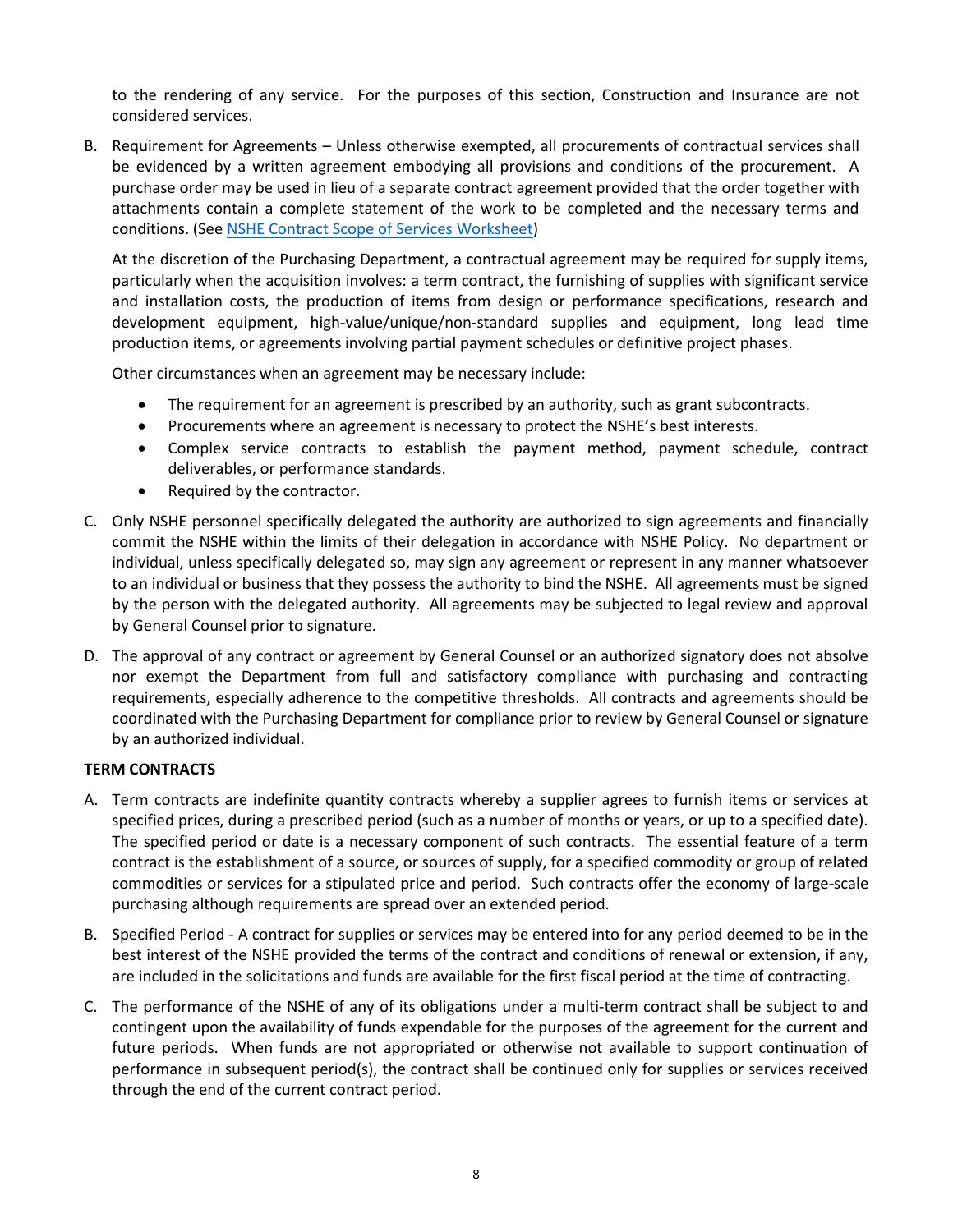to the rendering of any service. For the purposes of this section, Construction and Insurance are not considered services.

B. Requirement for Agreements – Unless otherwise exempted, all procurements of contractual services shall be evidenced by a written agreement embodying all provisions and conditions of the procurement. A purchase order may be used in lieu of a separate contract agreement provided that the order together with attachments contain a complete statement of the work to be completed and the necessary terms and conditions. (See NSHE [Contract Scope of Services Worksheet\)](https://bcnpurchasing.nevada.edu/media/1116/nshe-contract-scope-of-services-worksheet.pdf)

At the discretion of the Purchasing Department, a contractual agreement may be required for supply items, particularly when the acquisition involves: a term contract, the furnishing of supplies with significant service and installation costs, the production of items from design or performance specifications, research and development equipment, high-value/unique/non-standard supplies and equipment, long lead time production items, or agreements involving partial payment schedules or definitive project phases.

Other circumstances when an agreement may be necessary include:

- The requirement for an agreement is prescribed by an authority, such as grant subcontracts.
- Procurements where an agreement is necessary to protect the NSHE's best interests.
- Complex service contracts to establish the payment method, payment schedule, contract deliverables, or performance standards.
- Required by the contractor.
- C. Only NSHE personnel specifically delegated the authority are authorized to sign agreements and financially commit the NSHE within the limits of their delegation in accordance with NSHE Policy. No department or individual, unless specifically delegated so, may sign any agreement or represent in any manner whatsoever to an individual or business that they possess the authority to bind the NSHE. All agreements must be signed by the person with the delegated authority. All agreements may be subjected to legal review and approval by General Counsel prior to signature.
- D. The approval of any contract or agreement by General Counsel or an authorized signatory does not absolve nor exempt the Department from full and satisfactory compliance with purchasing and contracting requirements, especially adherence to the competitive thresholds. All contracts and agreements should be coordinated with the Purchasing Department for compliance prior to review by General Counsel or signature by an authorized individual.

### <span id="page-7-0"></span>**TERM CONTRACTS**

- A. Term contracts are indefinite quantity contracts whereby a supplier agrees to furnish items or services at specified prices, during a prescribed period (such as a number of months or years, or up to a specified date). The specified period or date is a necessary component of such contracts. The essential feature of a term contract is the establishment of a source, or sources of supply, for a specified commodity or group of related commodities or services for a stipulated price and period. Such contracts offer the economy of large-scale purchasing although requirements are spread over an extended period.
- B. Specified Period A contract for supplies or services may be entered into for any period deemed to be in the best interest of the NSHE provided the terms of the contract and conditions of renewal or extension, if any, are included in the solicitations and funds are available for the first fiscal period at the time of contracting.
- C. The performance of the NSHE of any of its obligations under a multi-term contract shall be subject to and contingent upon the availability of funds expendable for the purposes of the agreement for the current and future periods. When funds are not appropriated or otherwise not available to support continuation of performance in subsequent period(s), the contract shall be continued only for supplies or services received through the end of the current contract period.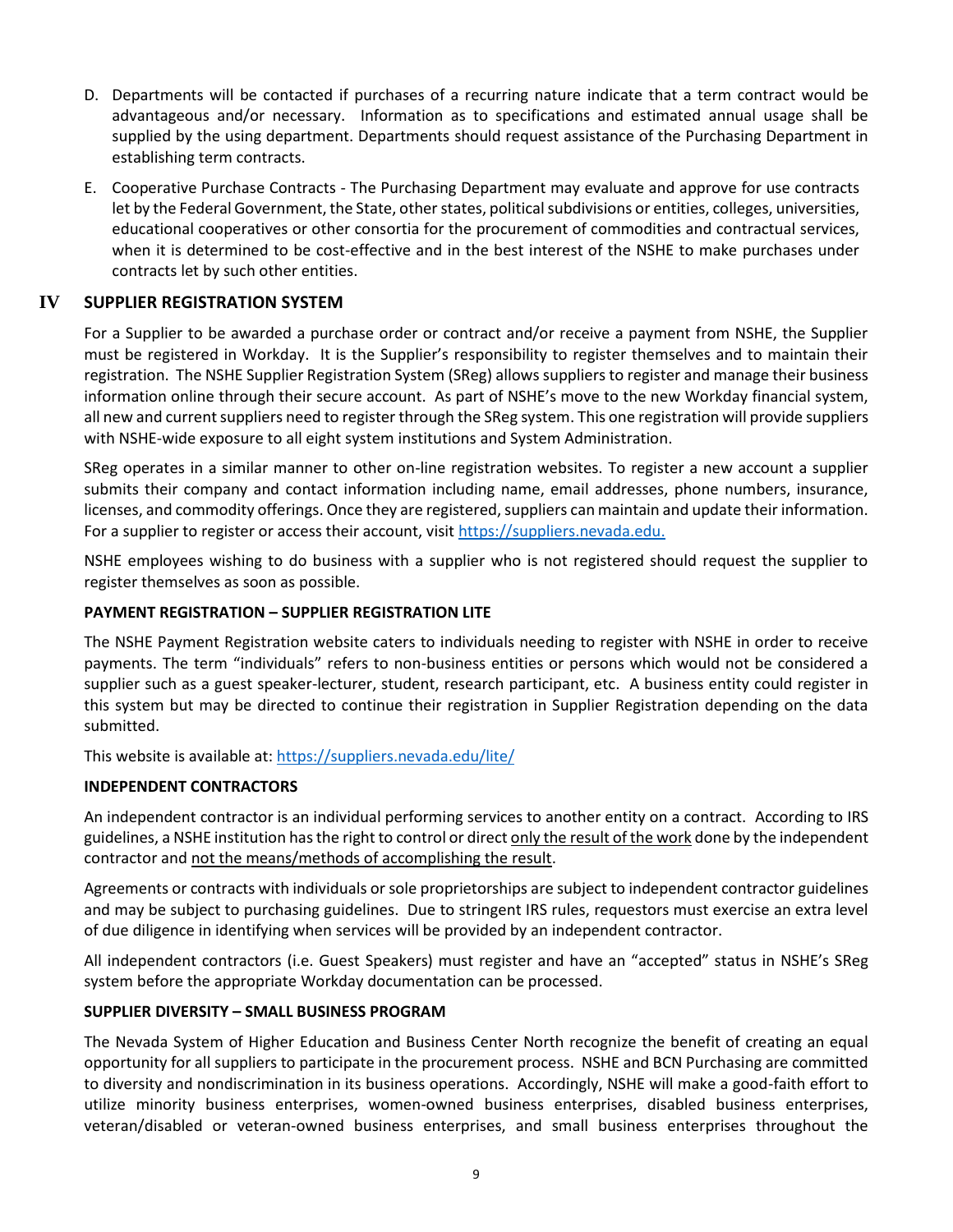- D. Departments will be contacted if purchases of a recurring nature indicate that a term contract would be advantageous and/or necessary. Information as to specifications and estimated annual usage shall be supplied by the using department. Departments should request assistance of the Purchasing Department in establishing term contracts.
- E. Cooperative Purchase Contracts The Purchasing Department may evaluate and approve for use contracts let by the Federal Government, the State, other states, political subdivisions or entities, colleges, universities, educational cooperatives or other consortia for the procurement of commodities and contractual services, when it is determined to be cost-effective and in the best interest of the NSHE to make purchases under contracts let by such other entities.

# **IV SUPPLIER REGISTRATION SYSTEM**

<span id="page-8-0"></span>For a Supplier to be awarded a purchase order or contract and/or receive a payment from NSHE, the Supplier must be registered in Workday. It is the Supplier's responsibility to register themselves and to maintain their registration. The NSHE Supplier Registration System (SReg) allows suppliers to register and manage their business information online through their secure account. As part of NSHE's move to the new Workday financial system, all new and current suppliers need to register through the SReg system. This one registration will provide suppliers with NSHE-wide exposure to all eight system institutions and System Administration.

SReg operates in a similar manner to other on-line registration websites. To register a new account a supplier submits their company and contact information including name, email addresses, phone numbers, insurance, licenses, and commodity offerings. Once they are registered, suppliers can maintain and update their information. For a supplier to register or access their account, visit [https://suppliers.nevada.edu.](https://suppliers.nevada.edu/)

NSHE employees wishing to do business with a supplier who is not registered should request the supplier to register themselves as soon as possible.

#### <span id="page-8-1"></span>**PAYMENT REGISTRATION – SUPPLIER REGISTRATION LITE**

The NSHE Payment Registration website caters to individuals needing to register with NSHE in order to receive payments. The term "individuals" refers to non-business entities or persons which would not be considered a supplier such as a guest speaker-lecturer, student, research participant, etc. A business entity could register in this system but may be directed to continue their registration in Supplier Registration depending on the data submitted.

This website is available at:<https://suppliers.nevada.edu/lite/>

#### <span id="page-8-2"></span>**INDEPENDENT CONTRACTORS**

An independent contractor is an individual performing services to another entity on a contract. According to IRS guidelines, a NSHE institution has the right to control or direct only the result of the work done by the independent contractor and not the means/methods of accomplishing the result.

Agreements or contracts with individuals or sole proprietorships are subject to independent contractor guidelines and may be subject to purchasing guidelines. Due to stringent IRS rules, requestors must exercise an extra level of due diligence in identifying when services will be provided by an independent contractor.

All independent contractors (i.e. Guest Speakers) must register and have an "accepted" status in NSHE's SReg system before the appropriate Workday documentation can be processed.

### <span id="page-8-3"></span>**SUPPLIER DIVERSITY – SMALL BUSINESS PROGRAM**

The Nevada System of Higher Education and Business Center North recognize the benefit of creating an equal opportunity for all suppliers to participate in the procurement process. NSHE and BCN Purchasing are committed to diversity and nondiscrimination in its business operations. Accordingly, NSHE will make a good-faith effort to utilize minority business enterprises, women-owned business enterprises, disabled business enterprises, veteran/disabled or veteran-owned business enterprises, and small business enterprises throughout the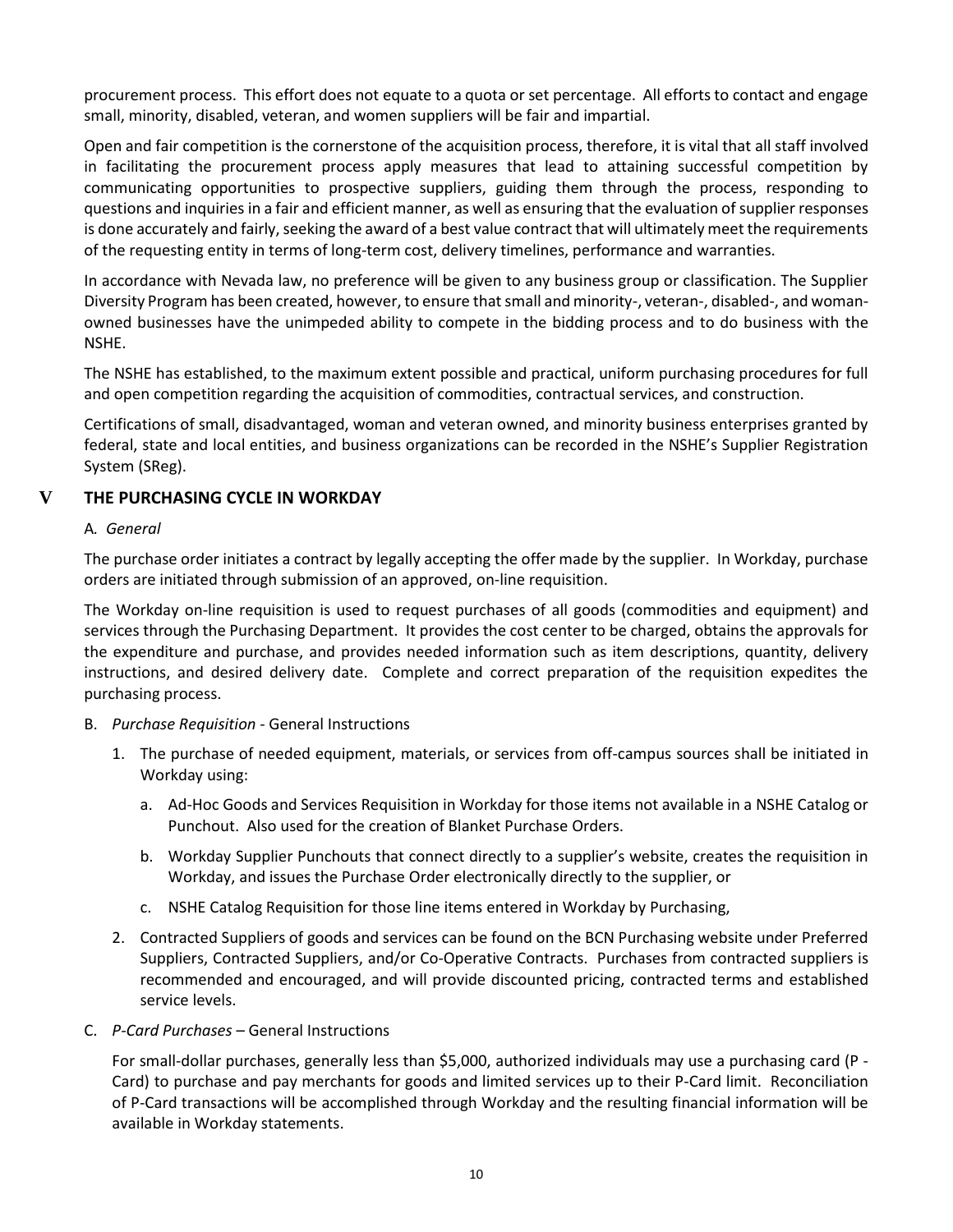procurement process. This effort does not equate to a quota or set percentage. All efforts to contact and engage small, minority, disabled, veteran, and women suppliers will be fair and impartial.

Open and fair competition is the cornerstone of the acquisition process, therefore, it is vital that all staff involved in facilitating the procurement process apply measures that lead to attaining successful competition by communicating opportunities to prospective suppliers, guiding them through the process, responding to questions and inquiries in a fair and efficient manner, as well as ensuring that the evaluation of supplier responses is done accurately and fairly, seeking the award of a best value contract that will ultimately meet the requirements of the requesting entity in terms of long-term cost, delivery timelines, performance and warranties.

In accordance with Nevada law, no preference will be given to any business group or classification. The Supplier Diversity Program has been created, however, to ensure that small and minority-, veteran-, disabled-, and womanowned businesses have the unimpeded ability to compete in the bidding process and to do business with the NSHE.

The NSHE has established, to the maximum extent possible and practical, uniform purchasing procedures for full and open competition regarding the acquisition of commodities, contractual services, and construction.

Certifications of small, disadvantaged, woman and veteran owned, and minority business enterprises granted by federal, state and local entities, and business organizations can be recorded in the NSHE's Supplier Registration System (SReg).

## **V THE PURCHASING CYCLE IN WORKDAY**

#### <span id="page-9-0"></span>A*. General*

The purchase order initiates a contract by legally accepting the offer made by the supplier. In Workday, purchase orders are initiated through submission of an approved, on-line requisition.

The Workday on-line requisition is used to request purchases of all goods (commodities and equipment) and services through the Purchasing Department. It provides the cost center to be charged, obtains the approvals for the expenditure and purchase, and provides needed information such as item descriptions, quantity, delivery instructions, and desired delivery date. Complete and correct preparation of the requisition expedites the purchasing process.

- B. *Purchase Requisition* General Instructions
	- 1. The purchase of needed equipment, materials, or services from off-campus sources shall be initiated in Workday using:
		- a. Ad-Hoc Goods and Services Requisition in Workday for those items not available in a NSHE Catalog or Punchout. Also used for the creation of Blanket Purchase Orders.
		- b. Workday Supplier Punchouts that connect directly to a supplier's website, creates the requisition in Workday, and issues the Purchase Order electronically directly to the supplier, or
		- c. NSHE Catalog Requisition for those line items entered in Workday by Purchasing,
	- 2. Contracted Suppliers of goods and services can be found on the BCN Purchasing website under Preferred Suppliers, Contracted Suppliers, and/or Co-Operative Contracts. Purchases from contracted suppliers is recommended and encouraged, and will provide discounted pricing, contracted terms and established service levels.
- C. *P-Card Purchases* General Instructions

For small-dollar purchases, generally less than \$5,000, authorized individuals may use a purchasing card (P - Card) to purchase and pay merchants for goods and limited services up to their P-Card limit. Reconciliation of P-Card transactions will be accomplished through Workday and the resulting financial information will be available in Workday statements.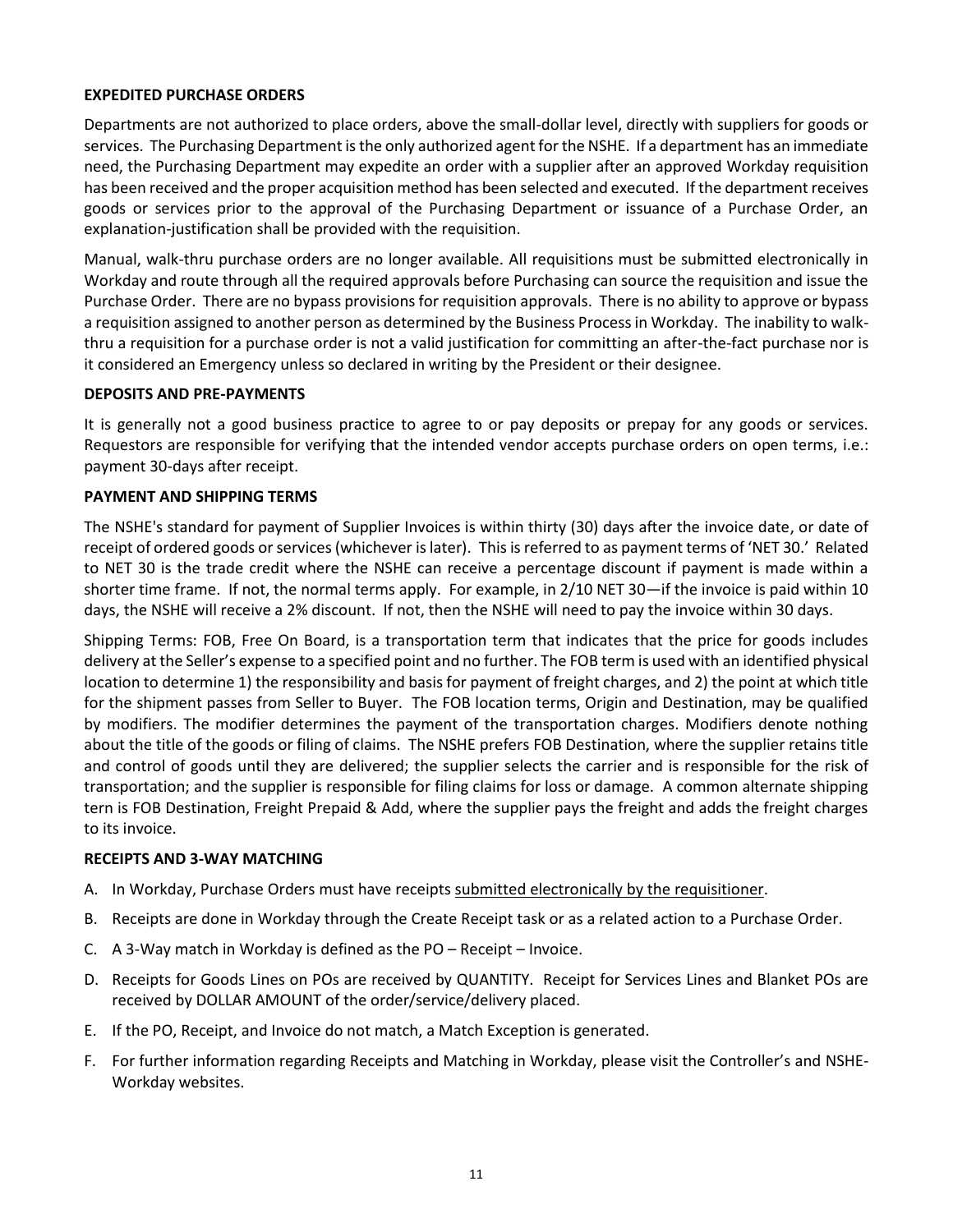### <span id="page-10-0"></span>**EXPEDITED PURCHASE ORDERS**

Departments are not authorized to place orders, above the small-dollar level, directly with suppliers for goods or services. The Purchasing Department is the only authorized agent for the NSHE. If a department has an immediate need, the Purchasing Department may expedite an order with a supplier after an approved Workday requisition has been received and the proper acquisition method has been selected and executed. If the department receives goods or services prior to the approval of the Purchasing Department or issuance of a Purchase Order, an explanation-justification shall be provided with the requisition.

Manual, walk-thru purchase orders are no longer available. All requisitions must be submitted electronically in Workday and route through all the required approvals before Purchasing can source the requisition and issue the Purchase Order. There are no bypass provisions for requisition approvals. There is no ability to approve or bypass a requisition assigned to another person as determined by the Business Process in Workday. The inability to walkthru a requisition for a purchase order is not a valid justification for committing an after-the-fact purchase nor is it considered an Emergency unless so declared in writing by the President or their designee.

#### <span id="page-10-1"></span>**DEPOSITS AND PRE-PAYMENTS**

It is generally not a good business practice to agree to or pay deposits or prepay for any goods or services. Requestors are responsible for verifying that the intended vendor accepts purchase orders on open terms, i.e.: payment 30-days after receipt.

#### <span id="page-10-2"></span>**PAYMENT AND SHIPPING TERMS**

The NSHE's standard for payment of Supplier Invoices is within thirty (30) days after the invoice date, or date of receipt of ordered goods or services (whichever is later). This is referred to as payment terms of 'NET 30.' Related to NET 30 is the trade credit where the NSHE can receive a percentage discount if payment is made within a shorter time frame. If not, the normal terms apply. For example, in 2/10 NET 30—if the invoice is paid within 10 days, the NSHE will receive a 2% discount. If not, then the NSHE will need to pay the invoice within 30 days.

Shipping Terms: FOB, Free On Board, is a transportation term that indicates that the price for goods includes delivery at the Seller's expense to a specified point and no further. The FOB term is used with an identified physical location to determine 1) the responsibility and basis for payment of freight charges, and 2) the point at which title for the shipment passes from Seller to Buyer. The FOB location terms, Origin and Destination, may be qualified by modifiers. The modifier determines the payment of the transportation charges. Modifiers denote nothing about the title of the goods or filing of claims. The NSHE prefers FOB Destination, where the supplier retains title and control of goods until they are delivered; the supplier selects the carrier and is responsible for the risk of transportation; and the supplier is responsible for filing claims for loss or damage. A common alternate shipping tern is FOB Destination, Freight Prepaid & Add, where the supplier pays the freight and adds the freight charges to its invoice.

#### <span id="page-10-3"></span>**RECEIPTS AND 3-WAY MATCHING**

- A. In Workday, Purchase Orders must have receipts submitted electronically by the requisitioner.
- B. Receipts are done in Workday through the Create Receipt task or as a related action to a Purchase Order.
- C. A 3-Way match in Workday is defined as the PO Receipt Invoice.
- D. Receipts for Goods Lines on POs are received by QUANTITY. Receipt for Services Lines and Blanket POs are received by DOLLAR AMOUNT of the order/service/delivery placed.
- E. If the PO, Receipt, and Invoice do not match, a Match Exception is generated.
- F. For further information regarding Receipts and Matching in Workday, please visit the Controller's and NSHE-Workday websites.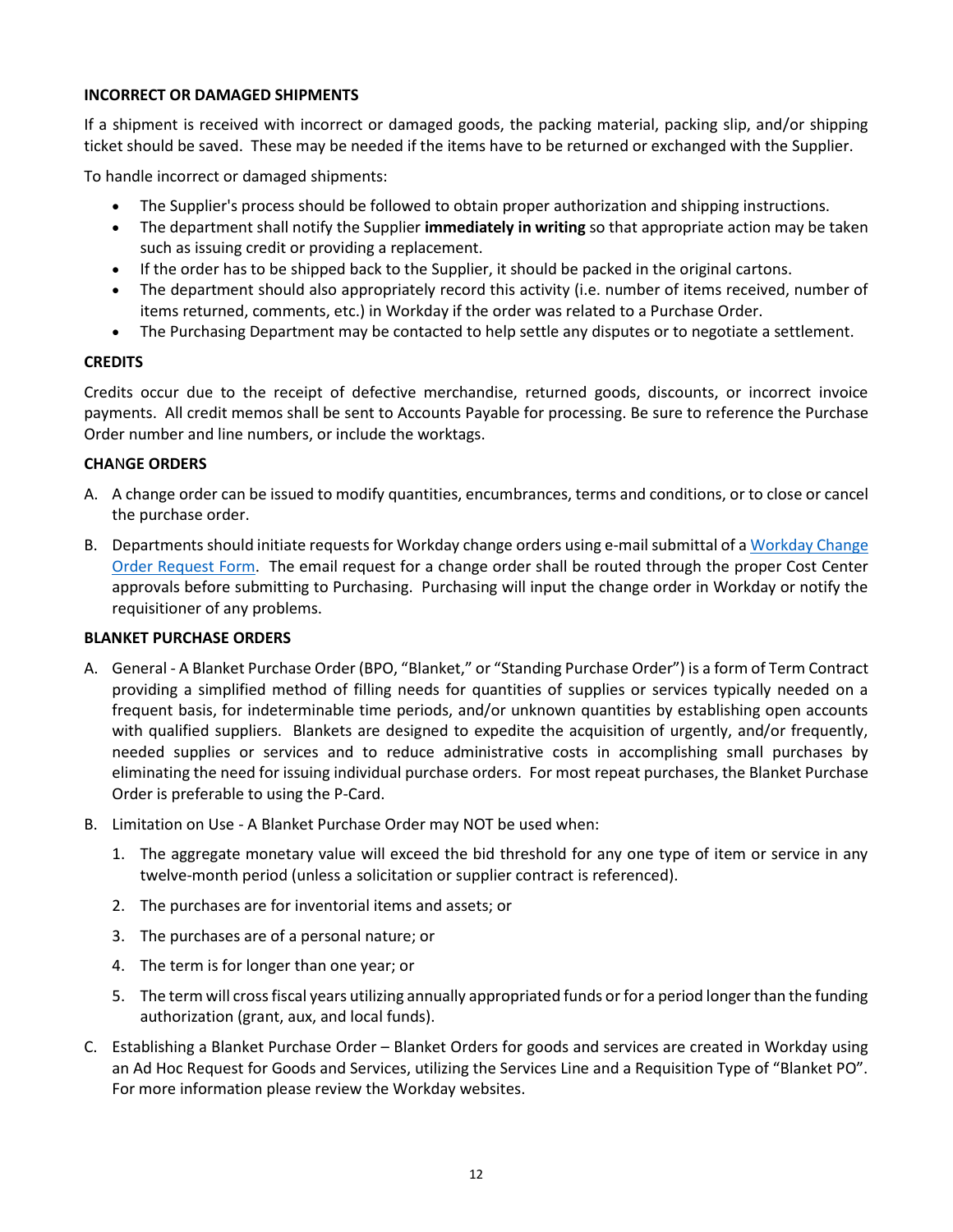### <span id="page-11-0"></span>**INCORRECT OR DAMAGED SHIPMENTS**

If a shipment is received with incorrect or damaged goods, the packing material, packing slip, and/or shipping ticket should be saved. These may be needed if the items have to be returned or exchanged with the Supplier.

To handle incorrect or damaged shipments:

- The Supplier's process should be followed to obtain proper authorization and shipping instructions.
- The department shall notify the Supplier **immediately in writing** so that appropriate action may be taken such as issuing credit or providing a replacement.
- If the order has to be shipped back to the Supplier, it should be packed in the original cartons.
- The department should also appropriately record this activity (i.e. number of items received, number of items returned, comments, etc.) in Workday if the order was related to a Purchase Order.
- The Purchasing Department may be contacted to help settle any disputes or to negotiate a settlement.

#### <span id="page-11-1"></span>**CREDITS**

Credits occur due to the receipt of defective merchandise, returned goods, discounts, or incorrect invoice payments. All credit memos shall be sent to Accounts Payable for processing. Be sure to reference the Purchase Order number and line numbers, or include the worktags.

#### <span id="page-11-2"></span>**CHA**N**GE ORDERS**

- A. A change order can be issued to modify quantities, encumbrances, terms and conditions, or to close or cancel the purchase order.
- B. Departments should initiate requests for Workday change orders using e-mail submittal of [a Workday Change](https://bcnpurchasing.nevada.edu/media/1127/workday-change-order-request-form-fillable.pdf)  Order [Request](https://bcnpurchasing.nevada.edu/media/1127/workday-change-order-request-form-fillable.pdf) Form. The email request for a change order shall be routed through the proper Cost Center approvals before submitting to Purchasing. Purchasing will input the change order in Workday or notify the requisitioner of any problems.

### <span id="page-11-3"></span>**BLANKET PURCHASE ORDERS**

- A. General A Blanket Purchase Order (BPO, "Blanket," or "Standing Purchase Order") is a form of Term Contract providing a simplified method of filling needs for quantities of supplies or services typically needed on a frequent basis, for indeterminable time periods, and/or unknown quantities by establishing open accounts with qualified suppliers. Blankets are designed to expedite the acquisition of urgently, and/or frequently, needed supplies or services and to reduce administrative costs in accomplishing small purchases by eliminating the need for issuing individual purchase orders. For most repeat purchases, the Blanket Purchase Order is preferable to using the P-Card.
- B. Limitation on Use A Blanket Purchase Order may NOT be used when:
	- 1. The aggregate monetary value will exceed the bid threshold for any one type of item or service in any twelve-month period (unless a solicitation or supplier contract is referenced).
	- 2. The purchases are for inventorial items and assets; or
	- 3. The purchases are of a personal nature; or
	- 4. The term is for longer than one year; or
	- 5. The term will cross fiscal years utilizing annually appropriated funds or for a period longer than the funding authorization (grant, aux, and local funds).
- C. Establishing a Blanket Purchase Order Blanket Orders for goods and services are created in Workday using an Ad Hoc Request for Goods and Services, utilizing the Services Line and a Requisition Type of "Blanket PO". For more information please review the Workday websites.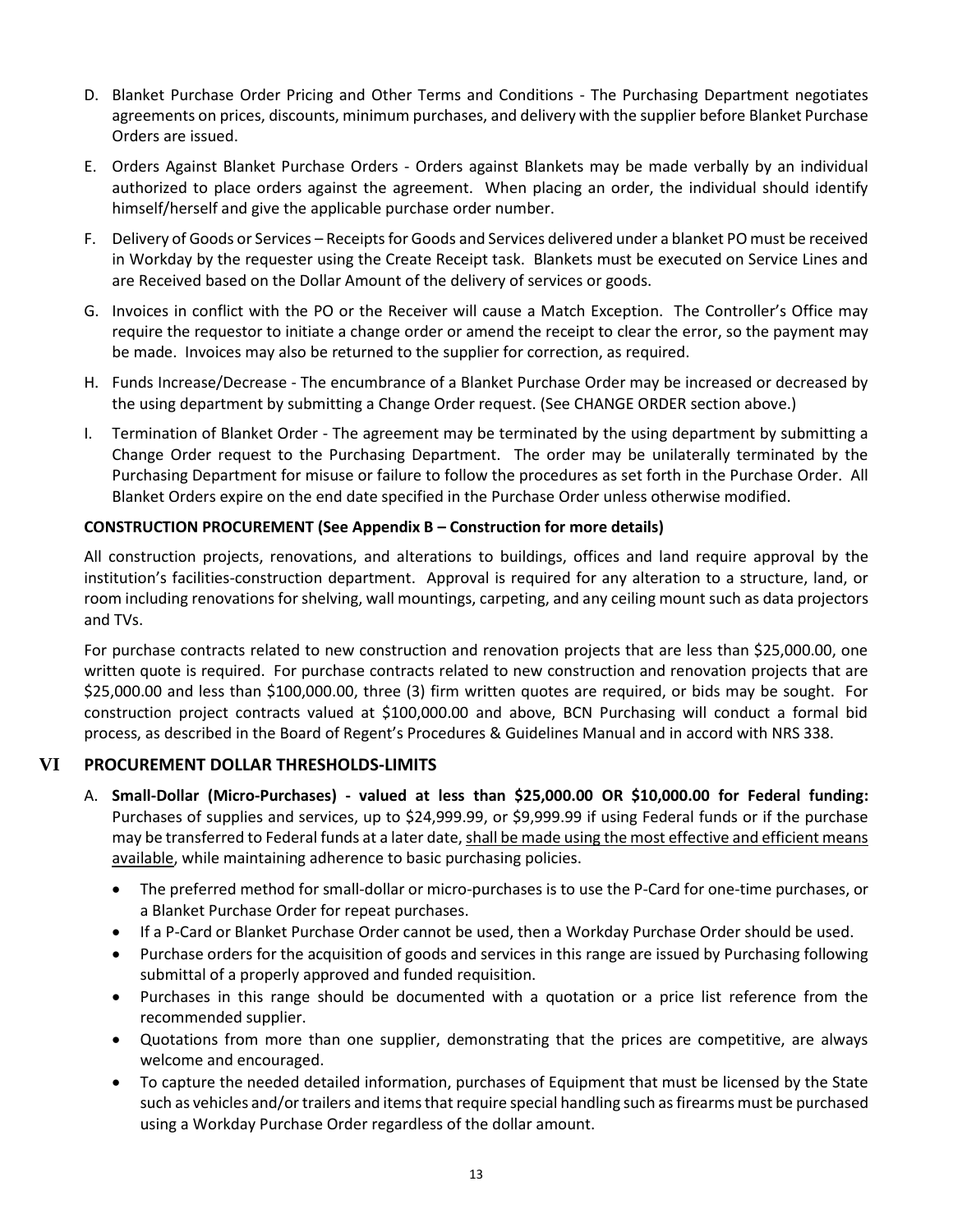- D. Blanket Purchase Order Pricing and Other Terms and Conditions The Purchasing Department negotiates agreements on prices, discounts, minimum purchases, and delivery with the supplier before Blanket Purchase Orders are issued.
- E. Orders Against Blanket Purchase Orders Orders against Blankets may be made verbally by an individual authorized to place orders against the agreement. When placing an order, the individual should identify himself/herself and give the applicable purchase order number.
- F. Delivery of Goods or Services Receipts for Goods and Services delivered under a blanket PO must be received in Workday by the requester using the Create Receipt task. Blankets must be executed on Service Lines and are Received based on the Dollar Amount of the delivery of services or goods.
- G. Invoices in conflict with the PO or the Receiver will cause a Match Exception. The Controller's Office may require the requestor to initiate a change order or amend the receipt to clear the error, so the payment may be made. Invoices may also be returned to the supplier for correction, as required.
- H. Funds Increase/Decrease The encumbrance of a Blanket Purchase Order may be increased or decreased by the using department by submitting a Change Order request. (See CHANGE ORDER section above.)
- I. Termination of Blanket Order The agreement may be terminated by the using department by submitting a Change Order request to the Purchasing Department. The order may be unilaterally terminated by the Purchasing Department for misuse or failure to follow the procedures as set forth in the Purchase Order. All Blanket Orders expire on the end date specified in the Purchase Order unless otherwise modified.

## <span id="page-12-0"></span>**CONSTRUCTION PROCUREMENT (See Appendix B – Construction for more details)**

All construction projects, renovations, and alterations to buildings, offices and land require approval by the institution's facilities-construction department. Approval is required for any alteration to a structure, land, or room including renovations for shelving, wall mountings, carpeting, and any ceiling mount such as data projectors and TVs.

For purchase contracts related to new construction and renovation projects that are less than \$25,000.00, one written quote is required. For purchase contracts related to new construction and renovation projects that are \$25,000.00 and less than \$100,000.00, three (3) firm written quotes are required, or bids may be sought. For construction project contracts valued at \$100,000.00 and above, BCN Purchasing will conduct a formal bid process, as described in the Board of Regent's Procedures & Guidelines Manual and in accord with NRS 338.

# **VI PROCUREMENT DOLLAR THRESHOLDS-LIMITS**

- <span id="page-12-1"></span>A. **Small-Dollar (Micro-Purchases) - valued at less than \$25,000.00 OR \$10,000.00 for Federal funding:** Purchases of supplies and services, up to \$24,999.99, or \$9,999.99 if using Federal funds or if the purchase may be transferred to Federal funds at a later date, shall be made using the most effective and efficient means available, while maintaining adherence to basic purchasing policies.
	- The preferred method for small-dollar or micro-purchases is to use the P-Card for one-time purchases, or a Blanket Purchase Order for repeat purchases.
	- If a P-Card or Blanket Purchase Order cannot be used, then a Workday Purchase Order should be used.
	- Purchase orders for the acquisition of goods and services in this range are issued by Purchasing following submittal of a properly approved and funded requisition.
	- Purchases in this range should be documented with a quotation or a price list reference from the recommended supplier.
	- Quotations from more than one supplier, demonstrating that the prices are competitive, are always welcome and encouraged.
	- To capture the needed detailed information, purchases of Equipment that must be licensed by the State such as vehicles and/or trailers and items that require special handling such as firearms must be purchased using a Workday Purchase Order regardless of the dollar amount.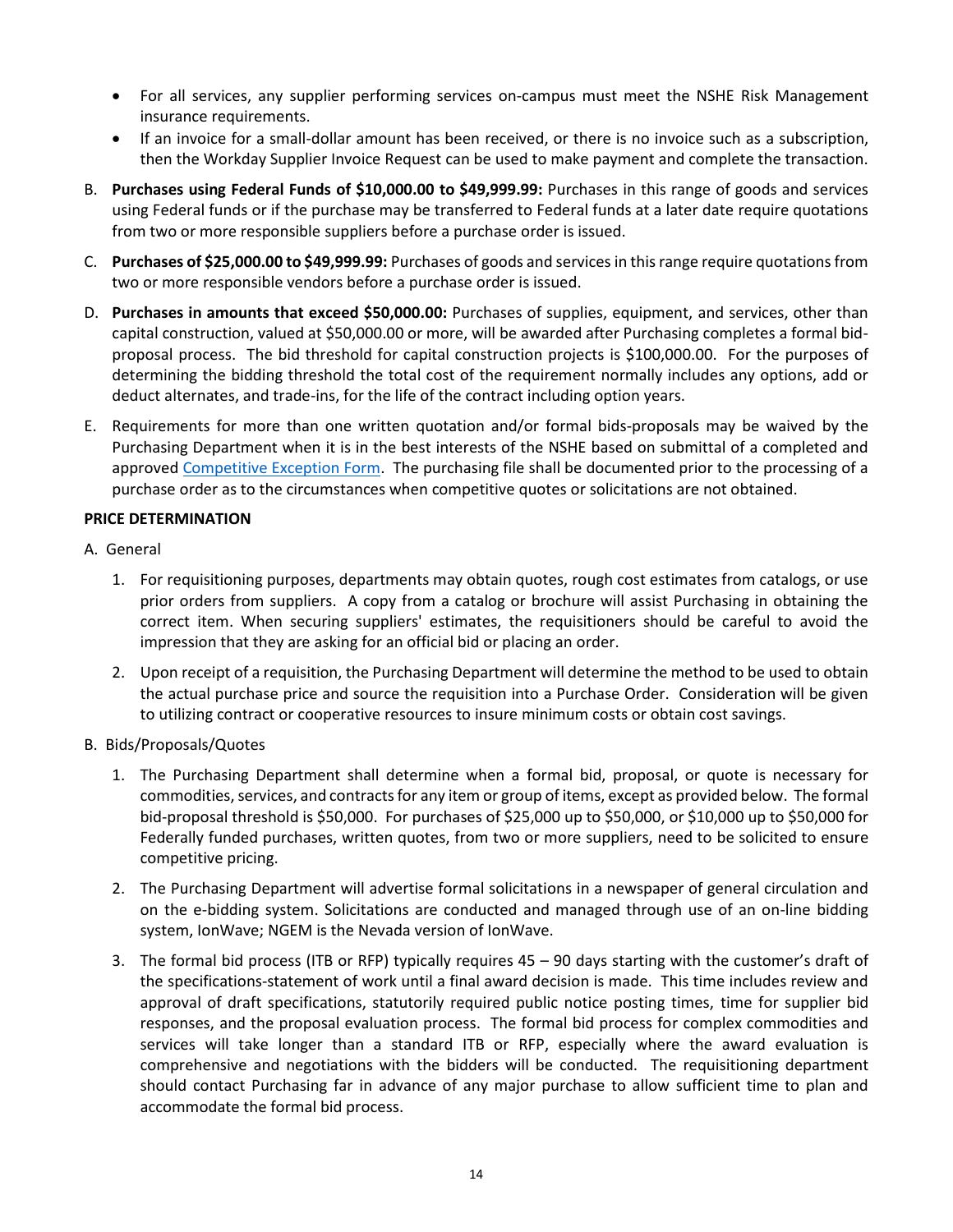- For all services, any supplier performing services on-campus must meet the NSHE Risk Management insurance requirements.
- If an invoice for a small-dollar amount has been received, or there is no invoice such as a subscription, then the Workday Supplier Invoice Request can be used to make payment and complete the transaction.
- B. **Purchases using Federal Funds of \$10,000.00 to \$49,999.99:** Purchases in this range of goods and services using Federal funds or if the purchase may be transferred to Federal funds at a later date require quotations from two or more responsible suppliers before a purchase order is issued.
- C. **Purchases of \$25,000.00 to \$49,999.99:** Purchases of goods and services in this range require quotations from two or more responsible vendors before a purchase order is issued.
- D. **Purchases in amounts that exceed \$50,000.00:** Purchases of supplies, equipment, and services, other than capital construction, valued at \$50,000.00 or more, will be awarded after Purchasing completes a formal bidproposal process. The bid threshold for capital construction projects is \$100,000.00. For the purposes of determining the bidding threshold the total cost of the requirement normally includes any options, add or deduct alternates, and trade-ins, for the life of the contract including option years.
- E. Requirements for more than one written quotation and/or formal bids-proposals may be waived by the Purchasing Department when it is in the best interests of the NSHE based on submittal of a completed and approved [Competitive Exception Form.](https://www.bcnpurchasing.nevada.edu/media/1196/competitive-exception-form-4-16-19.pdf) The purchasing file shall be documented prior to the processing of a purchase order as to the circumstances when competitive quotes or solicitations are not obtained.

### <span id="page-13-0"></span>**PRICE DETERMINATION**

- A. General
	- 1. For requisitioning purposes, departments may obtain quotes, rough cost estimates from catalogs, or use prior orders from suppliers. A copy from a catalog or brochure will assist Purchasing in obtaining the correct item. When securing suppliers' estimates, the requisitioners should be careful to avoid the impression that they are asking for an official bid or placing an order.
	- 2. Upon receipt of a requisition, the Purchasing Department will determine the method to be used to obtain the actual purchase price and source the requisition into a Purchase Order. Consideration will be given to utilizing contract or cooperative resources to insure minimum costs or obtain cost savings.
- B. Bids/Proposals/Quotes
	- 1. The Purchasing Department shall determine when a formal bid, proposal, or quote is necessary for commodities, services, and contracts for any item or group of items, except as provided below. The formal bid-proposal threshold is \$50,000. For purchases of \$25,000 up to \$50,000, or \$10,000 up to \$50,000 for Federally funded purchases, written quotes, from two or more suppliers, need to be solicited to ensure competitive pricing.
	- 2. The Purchasing Department will advertise formal solicitations in a newspaper of general circulation and on the e-bidding system. Solicitations are conducted and managed through use of an on-line bidding system, IonWave; NGEM is the Nevada version of IonWave.
	- 3. The formal bid process (ITB or RFP) typically requires 45 90 days starting with the customer's draft of the specifications-statement of work until a final award decision is made. This time includes review and approval of draft specifications, statutorily required public notice posting times, time for supplier bid responses, and the proposal evaluation process. The formal bid process for complex commodities and services will take longer than a standard ITB or RFP, especially where the award evaluation is comprehensive and negotiations with the bidders will be conducted. The requisitioning department should contact Purchasing far in advance of any major purchase to allow sufficient time to plan and accommodate the formal bid process.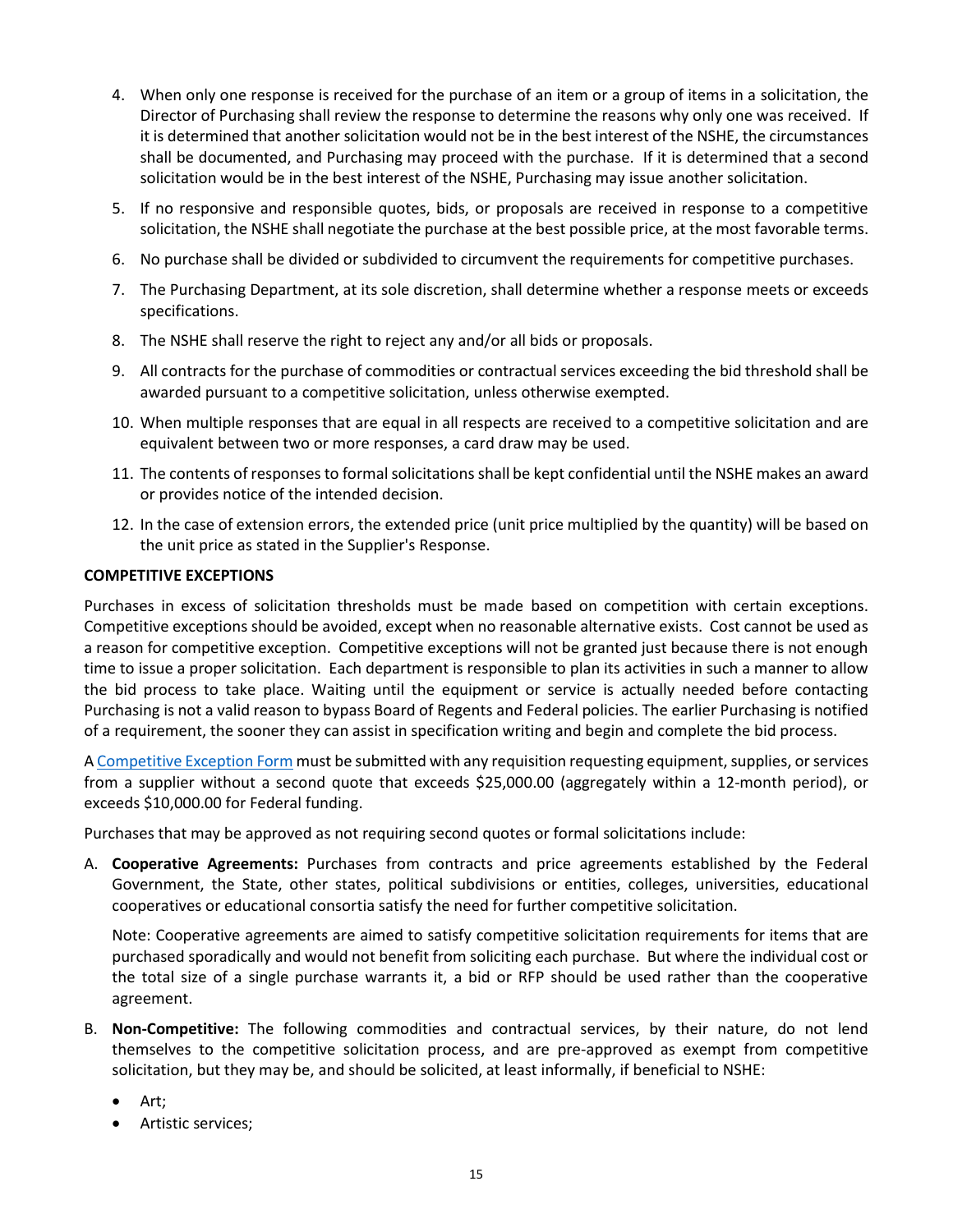- 4. When only one response is received for the purchase of an item or a group of items in a solicitation, the Director of Purchasing shall review the response to determine the reasons why only one was received. If it is determined that another solicitation would not be in the best interest of the NSHE, the circumstances shall be documented, and Purchasing may proceed with the purchase. If it is determined that a second solicitation would be in the best interest of the NSHE, Purchasing may issue another solicitation.
- 5. If no responsive and responsible quotes, bids, or proposals are received in response to a competitive solicitation, the NSHE shall negotiate the purchase at the best possible price, at the most favorable terms.
- 6. No purchase shall be divided or subdivided to circumvent the requirements for competitive purchases.
- 7. The Purchasing Department, at its sole discretion, shall determine whether a response meets or exceeds specifications.
- 8. The NSHE shall reserve the right to reject any and/or all bids or proposals.
- 9. All contracts for the purchase of commodities or contractual services exceeding the bid threshold shall be awarded pursuant to a competitive solicitation, unless otherwise exempted.
- 10. When multiple responses that are equal in all respects are received to a competitive solicitation and are equivalent between two or more responses, a card draw may be used.
- 11. The contents of responses to formal solicitations shall be kept confidential until the NSHE makes an award or provides notice of the intended decision.
- 12. In the case of extension errors, the extended price (unit price multiplied by the quantity) will be based on the unit price as stated in the Supplier's Response.

#### <span id="page-14-0"></span>**COMPETITIVE EXCEPTIONS**

Purchases in excess of solicitation thresholds must be made based on competition with certain exceptions. Competitive exceptions should be avoided, except when no reasonable alternative exists. Cost cannot be used as a reason for competitive exception. Competitive exceptions will not be granted just because there is not enough time to issue a proper solicitation. Each department is responsible to plan its activities in such a manner to allow the bid process to take place. Waiting until the equipment or service is actually needed before contacting Purchasing is not a valid reason to bypass Board of Regents and Federal policies. The earlier Purchasing is notified of a requirement, the sooner they can assist in specification writing and begin and complete the bid process.

[A Competitive Exception Form](https://www.bcnpurchasing.nevada.edu/media/1170/competitive-exception-form-12-27-18.pdf) must be submitted with any requisition requesting equipment, supplies, or services from a supplier without a second quote that exceeds \$25,000.00 (aggregately within a 12-month period), or exceeds \$10,000.00 for Federal funding.

Purchases that may be approved as not requiring second quotes or formal solicitations include:

A. **Cooperative Agreements:** Purchases from contracts and price agreements established by the Federal Government, the State, other states, political subdivisions or entities, colleges, universities, educational cooperatives or educational consortia satisfy the need for further competitive solicitation.

Note: Cooperative agreements are aimed to satisfy competitive solicitation requirements for items that are purchased sporadically and would not benefit from soliciting each purchase. But where the individual cost or the total size of a single purchase warrants it, a bid or RFP should be used rather than the cooperative agreement.

- B. **Non-Competitive:** The following commodities and contractual services, by their nature, do not lend themselves to the competitive solicitation process, and are pre-approved as exempt from competitive solicitation, but they may be, and should be solicited, at least informally, if beneficial to NSHE:
	- Art:
	- Artistic services;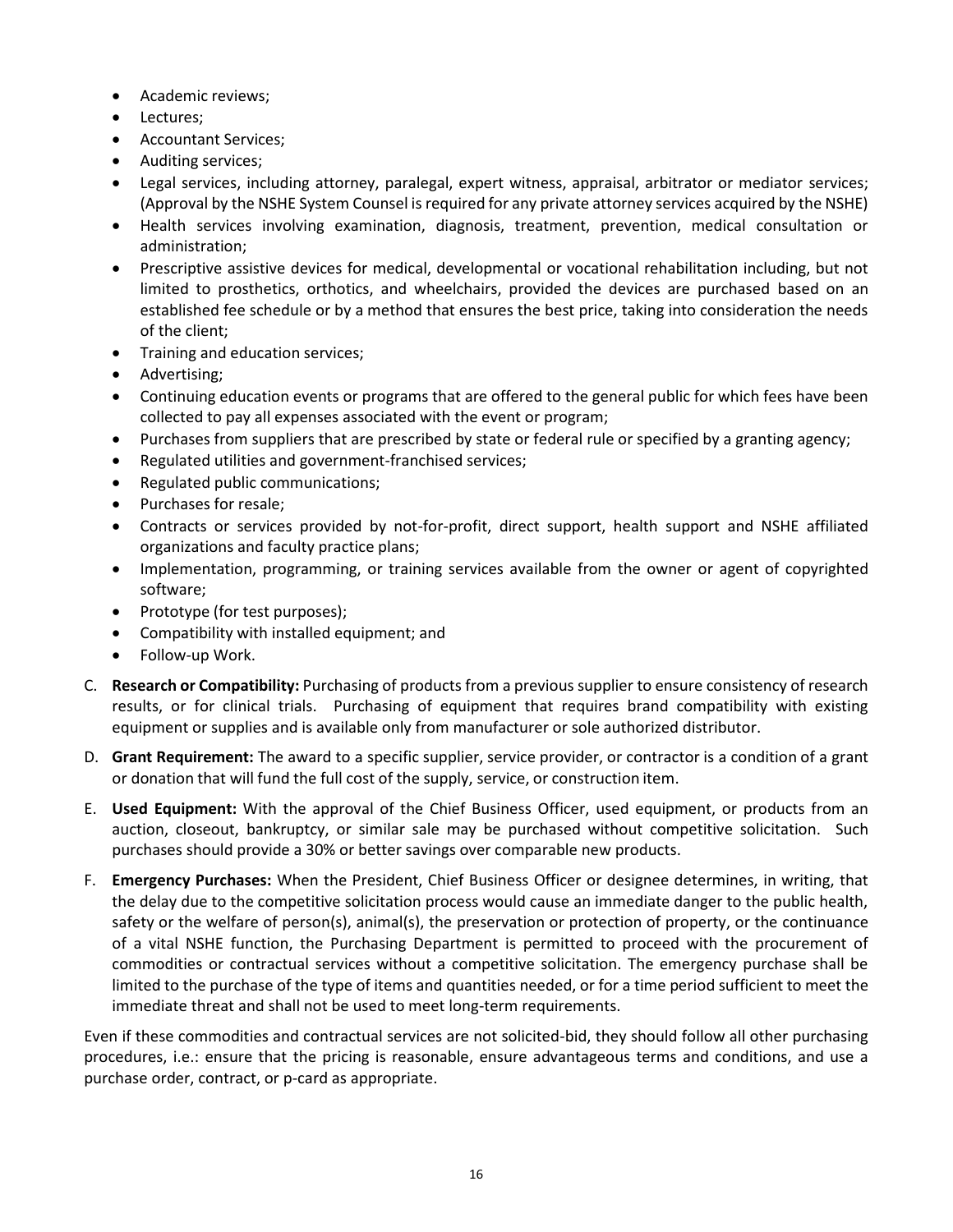- Academic reviews;
- Lectures;
- Accountant Services;
- Auditing services;
- Legal services, including attorney, paralegal, expert witness, appraisal, arbitrator or mediator services; (Approval by the NSHE System Counsel is required for any private attorney services acquired by the NSHE)
- Health services involving examination, diagnosis, treatment, prevention, medical consultation or administration;
- Prescriptive assistive devices for medical, developmental or vocational rehabilitation including, but not limited to prosthetics, orthotics, and wheelchairs, provided the devices are purchased based on an established fee schedule or by a method that ensures the best price, taking into consideration the needs of the client;
- Training and education services;
- Advertising;
- Continuing education events or programs that are offered to the general public for which fees have been collected to pay all expenses associated with the event or program;
- Purchases from suppliers that are prescribed by state or federal rule or specified by a granting agency;
- Regulated utilities and government-franchised services;
- Regulated public communications;
- Purchases for resale;
- Contracts or services provided by not-for-profit, direct support, health support and NSHE affiliated organizations and faculty practice plans;
- Implementation, programming, or training services available from the owner or agent of copyrighted software;
- Prototype (for test purposes);
- Compatibility with installed equipment; and
- Follow-up Work.
- C. **Research or Compatibility:** Purchasing of products from a previous supplier to ensure consistency of research results, or for clinical trials. Purchasing of equipment that requires brand compatibility with existing equipment or supplies and is available only from manufacturer or sole authorized distributor.
- D. **Grant Requirement:** The award to a specific supplier, service provider, or contractor is a condition of a grant or donation that will fund the full cost of the supply, service, or construction item.
- E. **Used Equipment:** With the approval of the Chief Business Officer, used equipment, or products from an auction, closeout, bankruptcy, or similar sale may be purchased without competitive solicitation. Such purchases should provide a 30% or better savings over comparable new products.
- F. **Emergency Purchases:** When the President, Chief Business Officer or designee determines, in writing, that the delay due to the competitive solicitation process would cause an immediate danger to the public health, safety or the welfare of person(s), animal(s), the preservation or protection of property, or the continuance of a vital NSHE function, the Purchasing Department is permitted to proceed with the procurement of commodities or contractual services without a competitive solicitation. The emergency purchase shall be limited to the purchase of the type of items and quantities needed, or for a time period sufficient to meet the immediate threat and shall not be used to meet long-term requirements.

Even if these commodities and contractual services are not solicited-bid, they should follow all other purchasing procedures, i.e.: ensure that the pricing is reasonable, ensure advantageous terms and conditions, and use a purchase order, contract, or p-card as appropriate.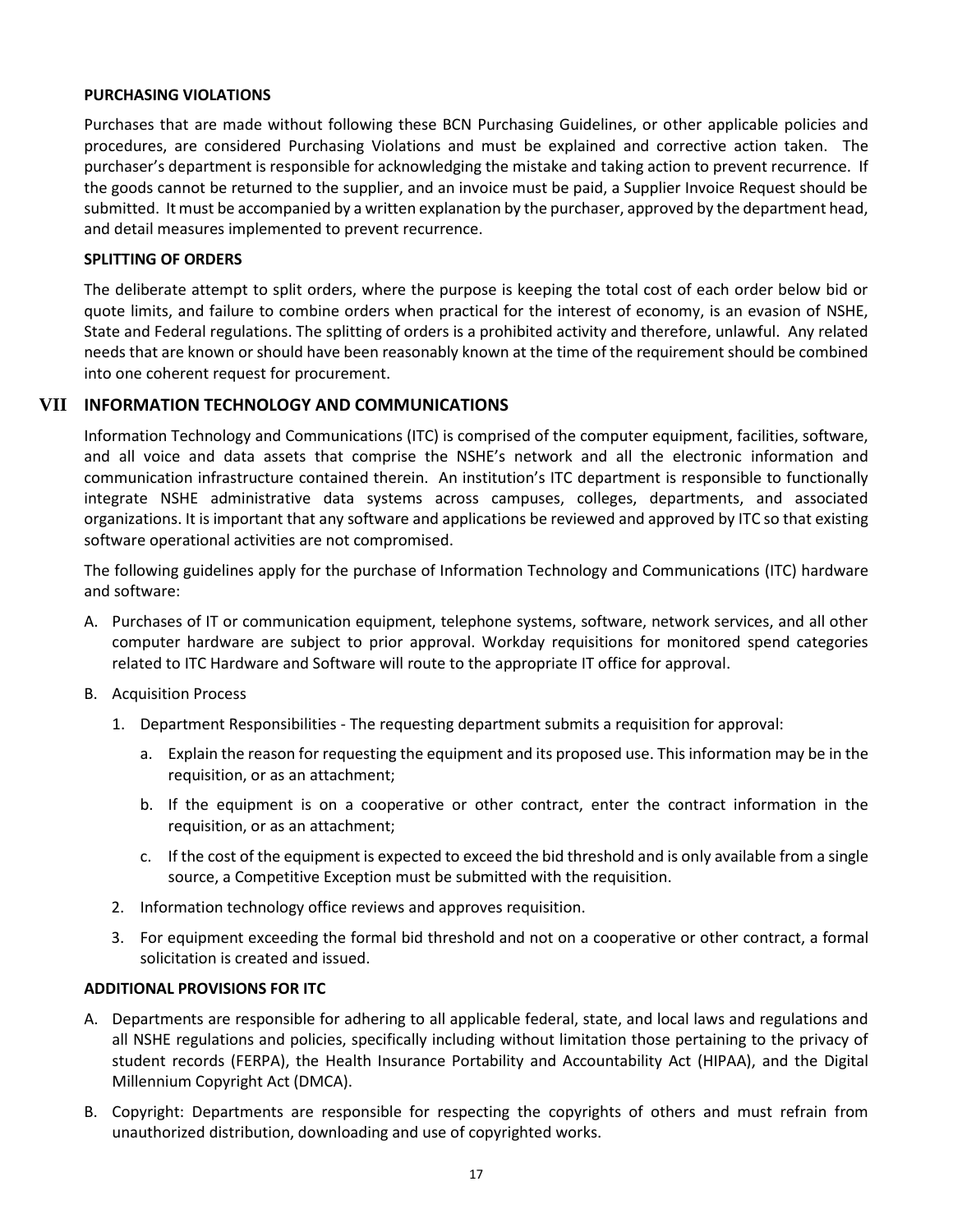### <span id="page-16-0"></span>**PURCHASING VIOLATIONS**

Purchases that are made without following these BCN Purchasing Guidelines, or other applicable policies and procedures, are considered Purchasing Violations and must be explained and corrective action taken. The purchaser's department is responsible for acknowledging the mistake and taking action to prevent recurrence. If the goods cannot be returned to the supplier, and an invoice must be paid, a Supplier Invoice Request should be submitted. It must be accompanied by a written explanation by the purchaser, approved by the department head, and detail measures implemented to prevent recurrence.

### <span id="page-16-1"></span>**SPLITTING OF ORDERS**

The deliberate attempt to split orders, where the purpose is keeping the total cost of each order below bid or quote limits, and failure to combine orders when practical for the interest of economy, is an evasion of NSHE, State and Federal regulations. The splitting of orders is a prohibited activity and therefore, unlawful. Any related needs that are known or should have been reasonably known at the time of the requirement should be combined into one coherent request for procurement.

# **VII INFORMATION TECHNOLOGY AND COMMUNICATIONS**

<span id="page-16-2"></span>Information Technology and Communications (ITC) is comprised of the computer equipment, facilities, software, and all voice and data assets that comprise the NSHE's network and all the electronic information and communication infrastructure contained therein. An institution's ITC department is responsible to functionally integrate NSHE administrative data systems across campuses, colleges, departments, and associated organizations. It is important that any software and applications be reviewed and approved by ITC so that existing software operational activities are not compromised.

The following guidelines apply for the purchase of Information Technology and Communications (ITC) hardware and software:

- A. Purchases of IT or communication equipment, telephone systems, software, network services, and all other computer hardware are subject to prior approval. Workday requisitions for monitored spend categories related to ITC Hardware and Software will route to the appropriate IT office for approval.
- B. Acquisition Process
	- 1. Department Responsibilities The requesting department submits a requisition for approval:
		- a. Explain the reason for requesting the equipment and its proposed use. This information may be in the requisition, or as an attachment;
		- b. If the equipment is on a cooperative or other contract, enter the contract information in the requisition, or as an attachment;
		- c. If the cost of the equipment is expected to exceed the bid threshold and is only available from a single source, a Competitive Exception must be submitted with the requisition.
	- 2. Information technology office reviews and approves requisition.
	- 3. For equipment exceeding the formal bid threshold and not on a cooperative or other contract, a formal solicitation is created and issued.

### <span id="page-16-3"></span>**ADDITIONAL PROVISIONS FOR ITC**

- A. Departments are responsible for adhering to all applicable federal, state, and local laws and regulations and all NSHE regulations and policies, specifically including without limitation those pertaining to the privacy of student records (FERPA), the Health Insurance Portability and Accountability Act (HIPAA), and the Digital Millennium Copyright Act (DMCA).
- B. Copyright: Departments are responsible for respecting the copyrights of others and must refrain from unauthorized distribution, downloading and use of copyrighted works.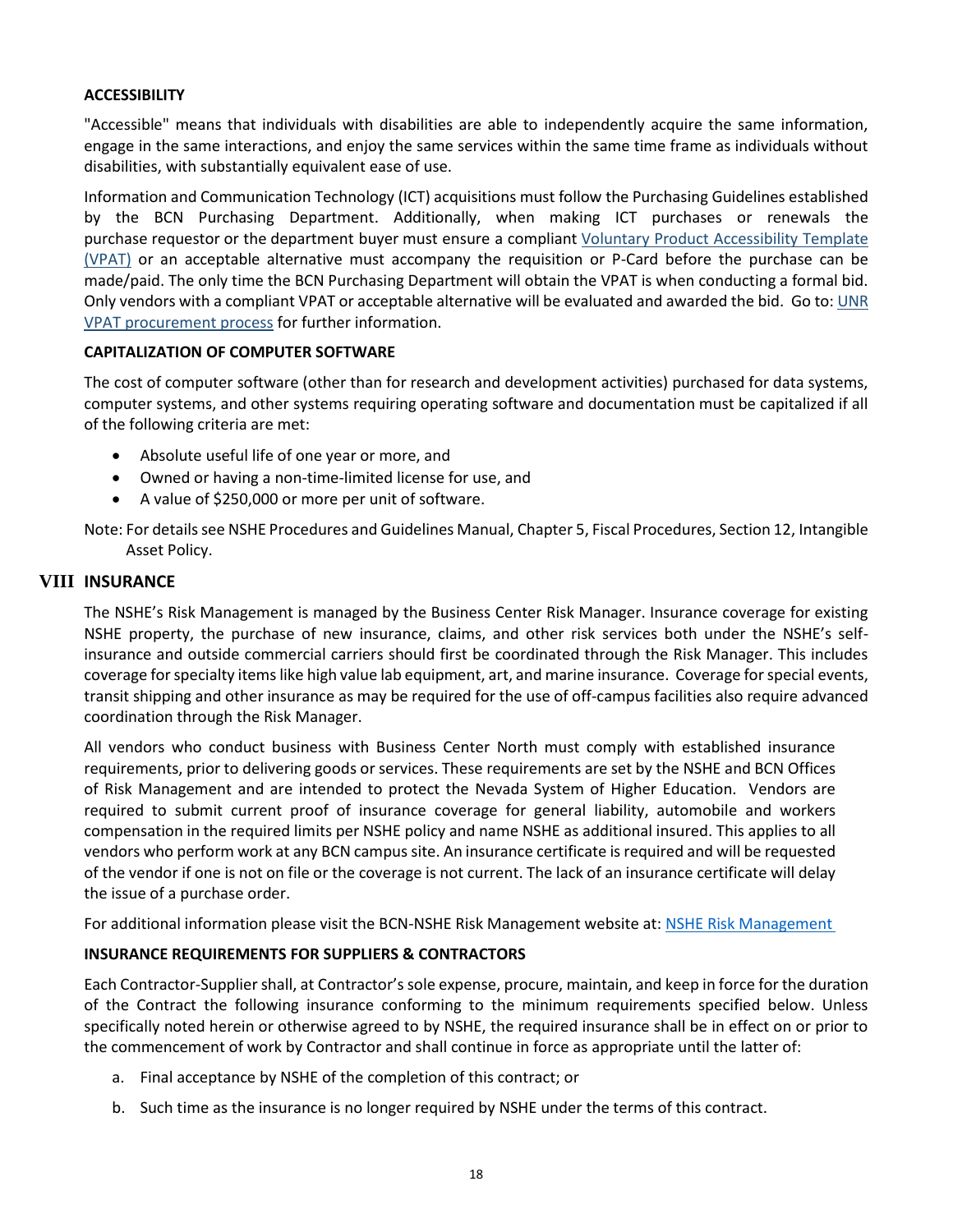### <span id="page-17-0"></span>**ACCESSIBILITY**

"Accessible" means that individuals with disabilities are able to independently acquire the same information, engage in the same interactions, and enjoy the same services within the same time frame as individuals without disabilities, with substantially equivalent ease of use.

Information and Communication Technology (ICT) acquisitions must follow the Purchasing Guidelines established by the BCN Purchasing Department. Additionally, when making ICT purchases or renewals the purchase requestor or the department buyer must ensure a compliant [Voluntary Product Accessibility Template](http://www.itic.org/policy/accessibility/accessibility/vpat)  [\(VPAT\)](http://www.itic.org/policy/accessibility/accessibility/vpat) or an acceptable alternative must accompany the requisition or P-Card before the purchase can be made/paid. The only time the BCN Purchasing Department will obtain the VPAT is when conducting a formal bid. Only vendors with a compliant VPAT or acceptable alternative will be evaluated and awarded the bid. Go to: [UNR](https://www.unr.edu/accessibility/procurement)  [VPAT procurement process](https://www.unr.edu/accessibility/procurement) for further information.

### <span id="page-17-1"></span>**CAPITALIZATION OF COMPUTER SOFTWARE**

The cost of computer software (other than for research and development activities) purchased for data systems, computer systems, and other systems requiring operating software and documentation must be capitalized if all of the following criteria are met:

- Absolute useful life of one year or more, and
- Owned or having a non-time-limited license for use, and
- A value of \$250,000 or more per unit of software.

Note: For details see NSHE Procedures and Guidelines Manual, Chapter 5, Fiscal Procedures, Section 12, Intangible Asset Policy.

## **VIII INSURANCE**

<span id="page-17-2"></span>The NSHE's Risk Management is managed by the Business Center Risk Manager. Insurance coverage for existing NSHE property, the purchase of new insurance, claims, and other risk services both under the NSHE's selfinsurance and outside commercial carriers should first be coordinated through the Risk Manager. This includes coverage for specialty items like high value lab equipment, art, and marine insurance. Coverage for special events, transit shipping and other insurance as may be required for the use of off-campus facilities also require advanced coordination through the Risk Manager.

All vendors who conduct business with Business Center North must comply with established insurance requirements, prior to delivering goods or services. These requirements are set by the NSHE and BCN Offices of Risk Management and are intended to protect the Nevada System of Higher Education. Vendors are required to submit current proof of insurance coverage for general liability, automobile and workers compensation in the required limits per NSHE policy and name NSHE as additional insured. This applies to all vendors who perform work at any BCN campus site. An insurance certificate is required and will be requested of the vendor if one is not on file or the coverage is not current. The lack of an insurance certificate will delay the issue of a purchase order.

For additional information please visit the BCN-NSHE Risk Management website at[: NSHE Risk Management](https://nshe.nevada.edu/administration/human-resources/risk-management/)

# <span id="page-17-3"></span>**INSURANCE REQUIREMENTS FOR SUPPLIERS & CONTRACTORS**

Each Contractor-Supplier shall, at Contractor's sole expense, procure, maintain, and keep in force for the duration of the Contract the following insurance conforming to the minimum requirements specified below. Unless specifically noted herein or otherwise agreed to by NSHE, the required insurance shall be in effect on or prior to the commencement of work by Contractor and shall continue in force as appropriate until the latter of:

- a. Final acceptance by NSHE of the completion of this contract; or
- b. Such time as the insurance is no longer required by NSHE under the terms of this contract.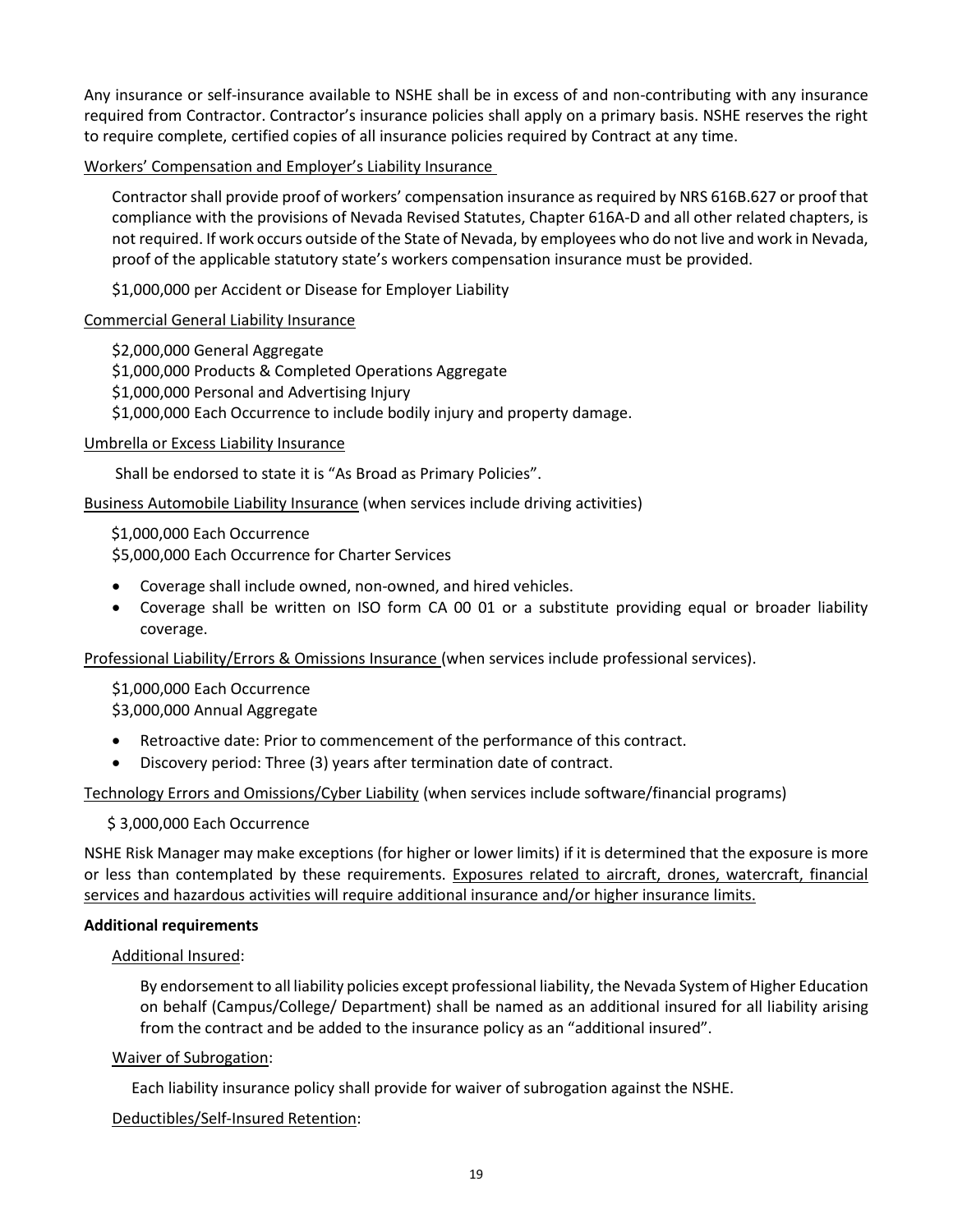Any insurance or self-insurance available to NSHE shall be in excess of and non-contributing with any insurance required from Contractor. Contractor's insurance policies shall apply on a primary basis. NSHE reserves the right to require complete, certified copies of all insurance policies required by Contract at any time.

Workers' Compensation and Employer's Liability Insurance

Contractor shall provide proof of workers' compensation insurance as required by NRS 616B.627 or proof that compliance with the provisions of Nevada Revised Statutes, Chapter 616A-D and all other related chapters, is not required. If work occurs outside of the State of Nevada, by employees who do not live and work in Nevada, proof of the applicable statutory state's workers compensation insurance must be provided.

\$1,000,000 per Accident or Disease for Employer Liability

#### Commercial General Liability Insurance

\$2,000,000 General Aggregate \$1,000,000 Products & Completed Operations Aggregate \$1,000,000 Personal and Advertising Injury \$1,000,000 Each Occurrence to include bodily injury and property damage.

#### Umbrella or Excess Liability Insurance

Shall be endorsed to state it is "As Broad as Primary Policies".

Business Automobile Liability Insurance (when services include driving activities)

 \$1,000,000 Each Occurrence \$5,000,000 Each Occurrence for Charter Services

- Coverage shall include owned, non-owned, and hired vehicles.
- Coverage shall be written on ISO form CA 00 01 or a substitute providing equal or broader liability coverage.

Professional Liability/Errors & Omissions Insurance (when services include professional services).

\$1,000,000 Each Occurrence \$3,000,000 Annual Aggregate

- Retroactive date: Prior to commencement of the performance of this contract.
- Discovery period: Three (3) years after termination date of contract.

Technology Errors and Omissions/Cyber Liability (when services include software/financial programs)

#### \$ 3,000,000 Each Occurrence

NSHE Risk Manager may make exceptions (for higher or lower limits) if it is determined that the exposure is more or less than contemplated by these requirements. Exposures related to aircraft, drones, watercraft, financial services and hazardous activities will require additional insurance and/or higher insurance limits.

#### <span id="page-18-0"></span>**Additional requirements**

#### Additional Insured:

By endorsement to all liability policies except professional liability, the Nevada System of Higher Education on behalf (Campus/College/ Department) shall be named as an additional insured for all liability arising from the contract and be added to the insurance policy as an "additional insured".

#### Waiver of Subrogation:

Each liability insurance policy shall provide for waiver of subrogation against the NSHE.

#### Deductibles/Self-Insured Retention: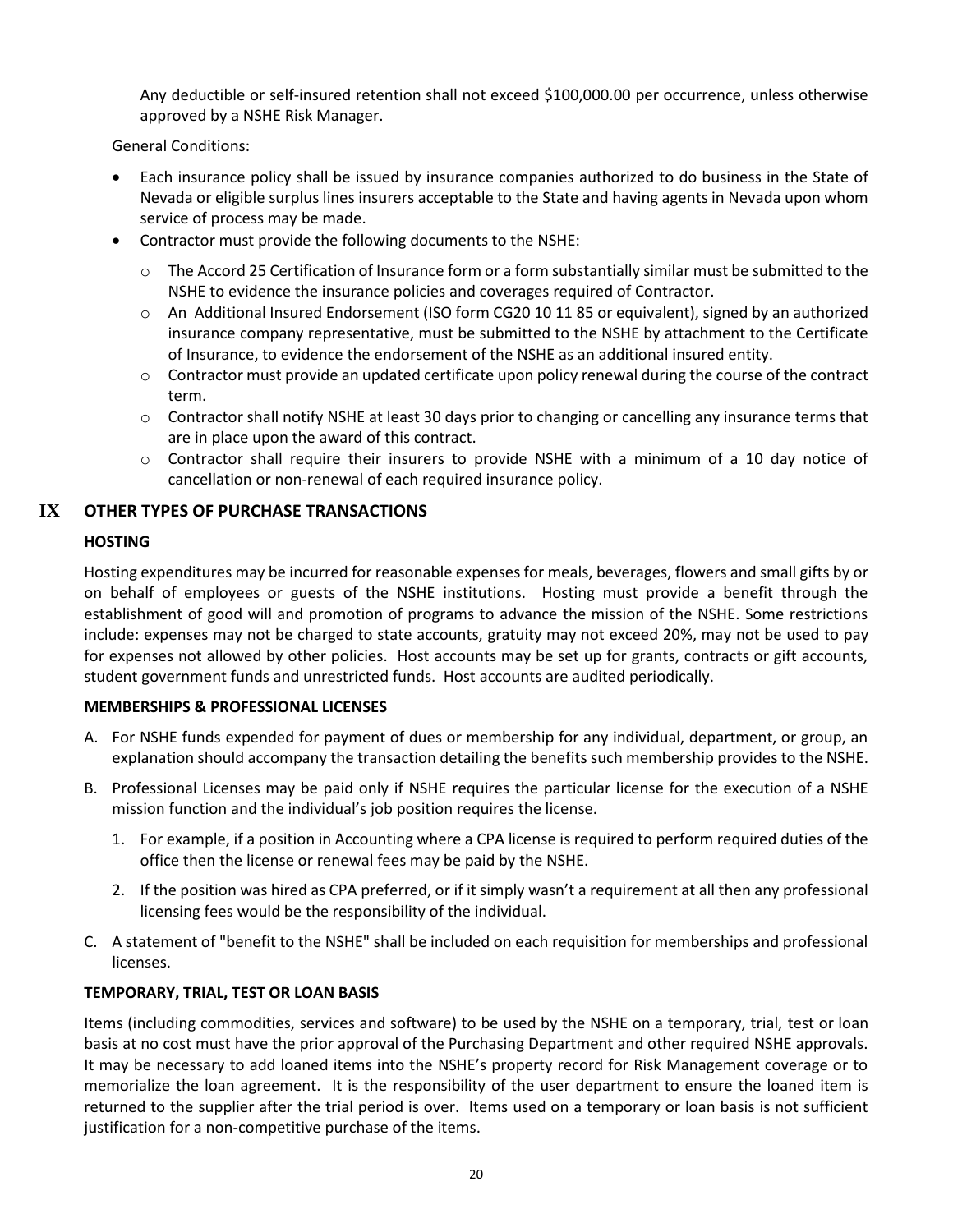Any deductible or self-insured retention shall not exceed \$100,000.00 per occurrence, unless otherwise approved by a NSHE Risk Manager.

# General Conditions:

- Each insurance policy shall be issued by insurance companies authorized to do business in the State of Nevada or eligible surplus lines insurers acceptable to the State and having agents in Nevada upon whom service of process may be made.
- Contractor must provide the following documents to the NSHE:
	- $\circ$  The Accord 25 Certification of Insurance form or a form substantially similar must be submitted to the NSHE to evidence the insurance policies and coverages required of Contractor.
	- o An Additional Insured Endorsement (ISO form CG20 10 11 85 or equivalent), signed by an authorized insurance company representative, must be submitted to the NSHE by attachment to the Certificate of Insurance, to evidence the endorsement of the NSHE as an additional insured entity.
	- $\circ$  Contractor must provide an updated certificate upon policy renewal during the course of the contract term.
	- $\circ$  Contractor shall notify NSHE at least 30 days prior to changing or cancelling any insurance terms that are in place upon the award of this contract.
	- $\circ$  Contractor shall require their insurers to provide NSHE with a minimum of a 10 day notice of cancellation or non-renewal of each required insurance policy.

# **IX OTHER TYPES OF PURCHASE TRANSACTIONS**

## <span id="page-19-1"></span><span id="page-19-0"></span>**HOSTING**

Hosting expenditures may be incurred for reasonable expenses for meals, beverages, flowers and small gifts by or on behalf of employees or guests of the NSHE institutions. Hosting must provide a benefit through the establishment of good will and promotion of programs to advance the mission of the NSHE. Some restrictions include: expenses may not be charged to state accounts, gratuity may not exceed 20%, may not be used to pay for expenses not allowed by other policies. Host accounts may be set up for grants, contracts or gift accounts, student government funds and unrestricted funds. Host accounts are audited periodically.

### <span id="page-19-2"></span>**MEMBERSHIPS & PROFESSIONAL LICENSES**

- A. For NSHE funds expended for payment of dues or membership for any individual, department, or group, an explanation should accompany the transaction detailing the benefits such membership provides to the NSHE.
- B. Professional Licenses may be paid only if NSHE requires the particular license for the execution of a NSHE mission function and the individual's job position requires the license.
	- 1. For example, if a position in Accounting where a CPA license is required to perform required duties of the office then the license or renewal fees may be paid by the NSHE.
	- 2. If the position was hired as CPA preferred, or if it simply wasn't a requirement at all then any professional licensing fees would be the responsibility of the individual.
- C. A statement of "benefit to the NSHE" shall be included on each requisition for memberships and professional licenses.

### <span id="page-19-3"></span>**TEMPORARY, TRIAL, TEST OR LOAN BASIS**

Items (including commodities, services and software) to be used by the NSHE on a temporary, trial, test or loan basis at no cost must have the prior approval of the Purchasing Department and other required NSHE approvals. It may be necessary to add loaned items into the NSHE's property record for Risk Management coverage or to memorialize the loan agreement. It is the responsibility of the user department to ensure the loaned item is returned to the supplier after the trial period is over. Items used on a temporary or loan basis is not sufficient justification for a non-competitive purchase of the items.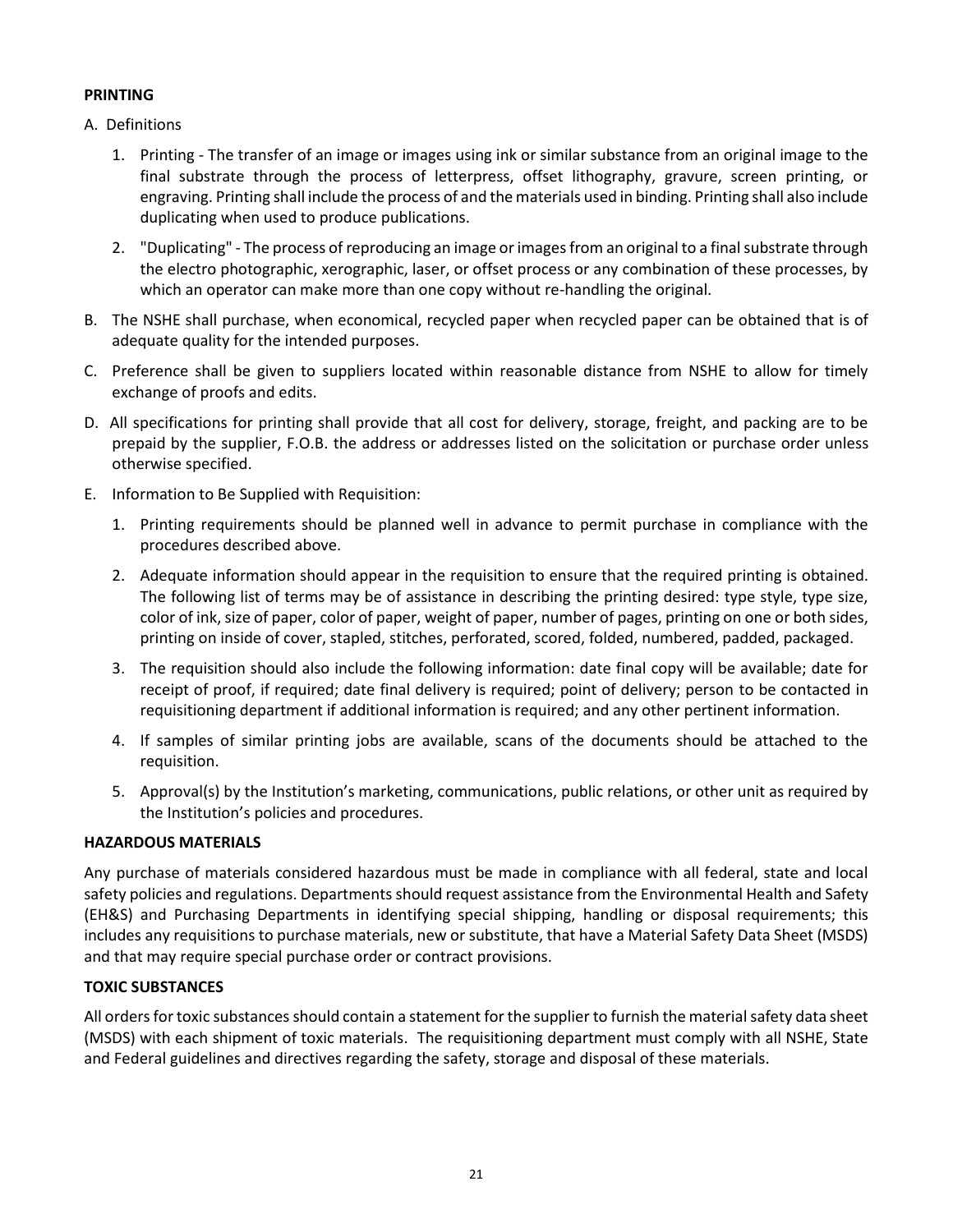# <span id="page-20-0"></span>**PRINTING**

- A. Definitions
	- 1. Printing The transfer of an image or images using ink or similar substance from an original image to the final substrate through the process of letterpress, offset lithography, gravure, screen printing, or engraving. Printing shall include the process of and the materials used in binding. Printing shall also include duplicating when used to produce publications.
	- 2. "Duplicating" The process of reproducing an image or images from an original to a final substrate through the electro photographic, xerographic, laser, or offset process or any combination of these processes, by which an operator can make more than one copy without re-handling the original.
- B. The NSHE shall purchase, when economical, recycled paper when recycled paper can be obtained that is of adequate quality for the intended purposes.
- C. Preference shall be given to suppliers located within reasonable distance from NSHE to allow for timely exchange of proofs and edits.
- D. All specifications for printing shall provide that all cost for delivery, storage, freight, and packing are to be prepaid by the supplier, F.O.B. the address or addresses listed on the solicitation or purchase order unless otherwise specified.
- E. Information to Be Supplied with Requisition:
	- 1. Printing requirements should be planned well in advance to permit purchase in compliance with the procedures described above.
	- 2. Adequate information should appear in the requisition to ensure that the required printing is obtained. The following list of terms may be of assistance in describing the printing desired: type style, type size, color of ink, size of paper, color of paper, weight of paper, number of pages, printing on one or both sides, printing on inside of cover, stapled, stitches, perforated, scored, folded, numbered, padded, packaged.
	- 3. The requisition should also include the following information: date final copy will be available; date for receipt of proof, if required; date final delivery is required; point of delivery; person to be contacted in requisitioning department if additional information is required; and any other pertinent information.
	- 4. If samples of similar printing jobs are available, scans of the documents should be attached to the requisition.
	- 5. Approval(s) by the Institution's marketing, communications, public relations, or other unit as required by the Institution's policies and procedures.

### <span id="page-20-1"></span>**HAZARDOUS MATERIALS**

Any purchase of materials considered hazardous must be made in compliance with all federal, state and local safety policies and regulations. Departments should request assistance from the Environmental Health and Safety (EH&S) and Purchasing Departments in identifying special shipping, handling or disposal requirements; this includes any requisitions to purchase materials, new or substitute, that have a Material Safety Data Sheet (MSDS) and that may require special purchase order or contract provisions.

### <span id="page-20-2"></span>**TOXIC SUBSTANCES**

All orders for toxic substances should contain a statement for the supplier to furnish the material safety data sheet (MSDS) with each shipment of toxic materials. The requisitioning department must comply with all NSHE, State and Federal guidelines and directives regarding the safety, storage and disposal of these materials.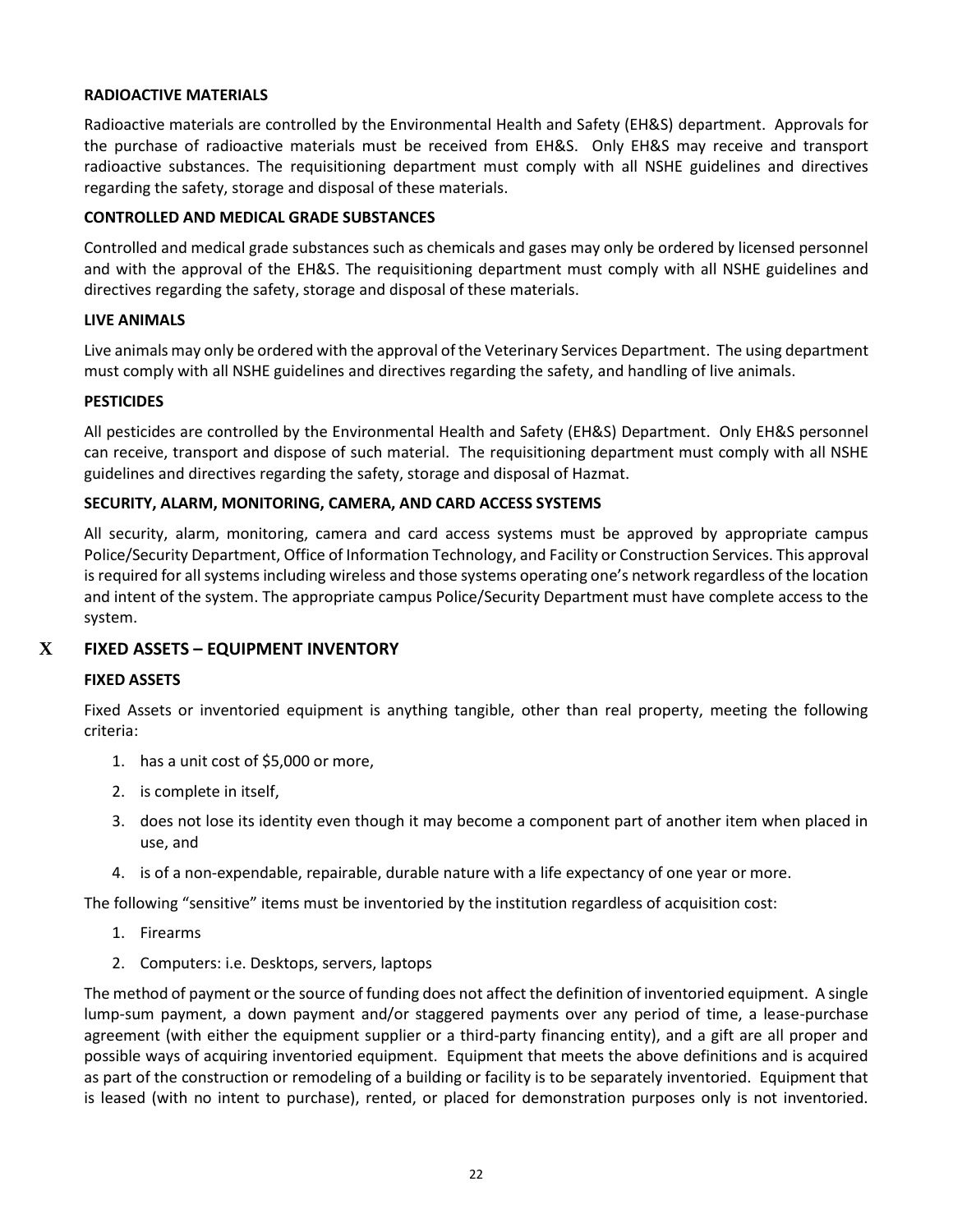### <span id="page-21-0"></span>**RADIOACTIVE MATERIALS**

Radioactive materials are controlled by the Environmental Health and Safety (EH&S) department. Approvals for the purchase of radioactive materials must be received from EH&S. Only EH&S may receive and transport radioactive substances. The requisitioning department must comply with all NSHE guidelines and directives regarding the safety, storage and disposal of these materials.

#### <span id="page-21-1"></span>**CONTROLLED AND MEDICAL GRADE SUBSTANCES**

Controlled and medical grade substances such as chemicals and gases may only be ordered by licensed personnel and with the approval of the EH&S. The requisitioning department must comply with all NSHE guidelines and directives regarding the safety, storage and disposal of these materials.

#### <span id="page-21-2"></span>**LIVE ANIMALS**

Live animals may only be ordered with the approval of the Veterinary Services Department. The using department must comply with all NSHE guidelines and directives regarding the safety, and handling of live animals.

### <span id="page-21-3"></span>**PESTICIDES**

All pesticides are controlled by the Environmental Health and Safety (EH&S) Department. Only EH&S personnel can receive, transport and dispose of such material. The requisitioning department must comply with all NSHE guidelines and directives regarding the safety, storage and disposal of Hazmat.

#### <span id="page-21-4"></span>**SECURITY, ALARM, MONITORING, CAMERA, AND CARD ACCESS SYSTEMS**

All security, alarm, monitoring, camera and card access systems must be approved by appropriate campus Police/Security Department, Office of Information Technology, and Facility or Construction Services. This approval is required for all systems including wireless and those systems operating one's network regardless of the location and intent of the system. The appropriate campus Police/Security Department must have complete access to the system.

### **X FIXED ASSETS – EQUIPMENT INVENTORY**

#### <span id="page-21-6"></span><span id="page-21-5"></span>**FIXED ASSETS**

Fixed Assets or inventoried equipment is anything tangible, other than real property, meeting the following criteria:

- 1. has a unit cost of \$5,000 or more,
- 2. is complete in itself,
- 3. does not lose its identity even though it may become a component part of another item when placed in use, and
- 4. is of a non-expendable, repairable, durable nature with a life expectancy of one year or more.

The following "sensitive" items must be inventoried by the institution regardless of acquisition cost:

- 1. Firearms
- 2. Computers: i.e. Desktops, servers, laptops

The method of payment or the source of funding does not affect the definition of inventoried equipment. A single lump-sum payment, a down payment and/or staggered payments over any period of time, a lease-purchase agreement (with either the equipment supplier or a third-party financing entity), and a gift are all proper and possible ways of acquiring inventoried equipment. Equipment that meets the above definitions and is acquired as part of the construction or remodeling of a building or facility is to be separately inventoried. Equipment that is leased (with no intent to purchase), rented, or placed for demonstration purposes only is not inventoried.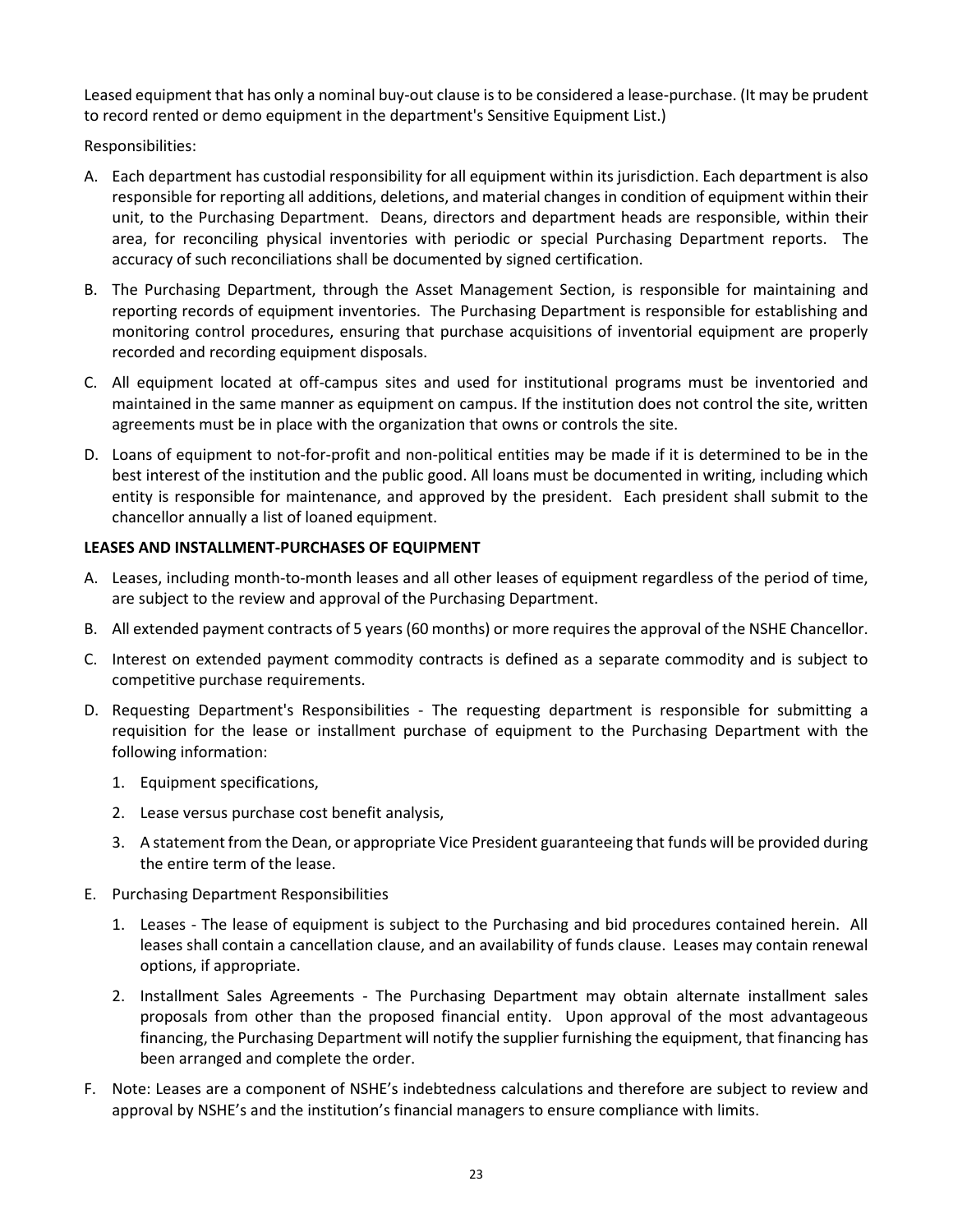Leased equipment that has only a nominal buy-out clause is to be considered a lease-purchase. (It may be prudent to record rented or demo equipment in the department's Sensitive Equipment List.)

Responsibilities:

- A. Each department has custodial responsibility for all equipment within its jurisdiction. Each department is also responsible for reporting all additions, deletions, and material changes in condition of equipment within their unit, to the Purchasing Department. Deans, directors and department heads are responsible, within their area, for reconciling physical inventories with periodic or special Purchasing Department reports. The accuracy of such reconciliations shall be documented by signed certification.
- B. The Purchasing Department, through the Asset Management Section, is responsible for maintaining and reporting records of equipment inventories. The Purchasing Department is responsible for establishing and monitoring control procedures, ensuring that purchase acquisitions of inventorial equipment are properly recorded and recording equipment disposals.
- C. All equipment located at off-campus sites and used for institutional programs must be inventoried and maintained in the same manner as equipment on campus. If the institution does not control the site, written agreements must be in place with the organization that owns or controls the site.
- D. Loans of equipment to not-for-profit and non-political entities may be made if it is determined to be in the best interest of the institution and the public good. All loans must be documented in writing, including which entity is responsible for maintenance, and approved by the president. Each president shall submit to the chancellor annually a list of loaned equipment.

# <span id="page-22-0"></span>**LEASES AND INSTALLMENT-PURCHASES OF EQUIPMENT**

- A. Leases, including month-to-month leases and all other leases of equipment regardless of the period of time, are subject to the review and approval of the Purchasing Department.
- B. All extended payment contracts of 5 years (60 months) or more requires the approval of the NSHE Chancellor.
- C. Interest on extended payment commodity contracts is defined as a separate commodity and is subject to competitive purchase requirements.
- D. Requesting Department's Responsibilities The requesting department is responsible for submitting a requisition for the lease or installment purchase of equipment to the Purchasing Department with the following information:
	- 1. Equipment specifications,
	- 2. Lease versus purchase cost benefit analysis,
	- 3. A statement from the Dean, or appropriate Vice President guaranteeing that funds will be provided during the entire term of the lease.
- E. Purchasing Department Responsibilities
	- 1. Leases The lease of equipment is subject to the Purchasing and bid procedures contained herein. All leases shall contain a cancellation clause, and an availability of funds clause. Leases may contain renewal options, if appropriate.
	- 2. Installment Sales Agreements The Purchasing Department may obtain alternate installment sales proposals from other than the proposed financial entity. Upon approval of the most advantageous financing, the Purchasing Department will notify the supplier furnishing the equipment, that financing has been arranged and complete the order.
- F. Note: Leases are a component of NSHE's indebtedness calculations and therefore are subject to review and approval by NSHE's and the institution's financial managers to ensure compliance with limits.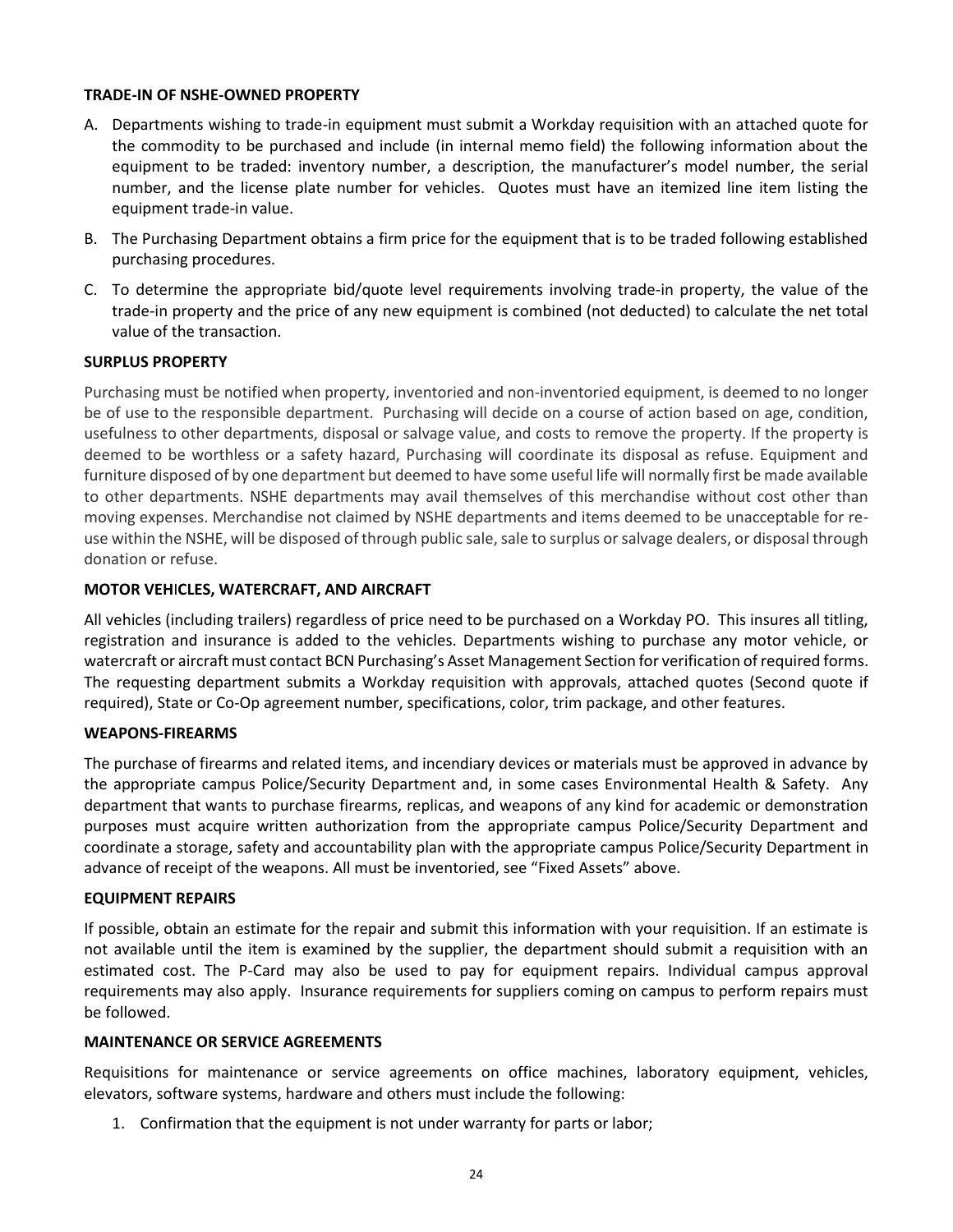#### <span id="page-23-0"></span>**TRADE-IN OF NSHE-OWNED PROPERTY**

- A. Departments wishing to trade-in equipment must submit a Workday requisition with an attached quote for the commodity to be purchased and include (in internal memo field) the following information about the equipment to be traded: inventory number, a description, the manufacturer's model number, the serial number, and the license plate number for vehicles. Quotes must have an itemized line item listing the equipment trade-in value.
- B. The Purchasing Department obtains a firm price for the equipment that is to be traded following established purchasing procedures.
- C. To determine the appropriate bid/quote level requirements involving trade-in property, the value of the trade-in property and the price of any new equipment is combined (not deducted) to calculate the net total value of the transaction.

#### <span id="page-23-1"></span>**SURPLUS PROPERTY**

Purchasing must be notified when property, inventoried and non-inventoried equipment, is deemed to no longer be of use to the responsible department. Purchasing will decide on a course of action based on age, condition, usefulness to other departments, disposal or salvage value, and costs to remove the property. If the property is deemed to be worthless or a safety hazard, Purchasing will coordinate its disposal as refuse. Equipment and furniture disposed of by one department but deemed to have some useful life will normally first be made available to other departments. NSHE departments may avail themselves of this merchandise without cost other than moving expenses. Merchandise not claimed by NSHE departments and items deemed to be unacceptable for reuse within the NSHE, will be disposed of through public sale, sale to surplus or salvage dealers, or disposal through donation or refuse.

### <span id="page-23-2"></span>**MOTOR VEH**I**CLES, WATERCRAFT, AND AIRCRAFT**

All vehicles (including trailers) regardless of price need to be purchased on a Workday PO. This insures all titling, registration and insurance is added to the vehicles. Departments wishing to purchase any motor vehicle, or watercraft or aircraft must contact BCN Purchasing's Asset Management Section for verification of required forms. The requesting department submits a Workday requisition with approvals, attached quotes (Second quote if required), State or Co-Op agreement number, specifications, color, trim package, and other features.

#### <span id="page-23-3"></span>**WEAPONS-FIREARMS**

The purchase of firearms and related items, and incendiary devices or materials must be approved in advance by the appropriate campus Police/Security Department and, in some cases Environmental Health & Safety. Any department that wants to purchase firearms, replicas, and weapons of any kind for academic or demonstration purposes must acquire written authorization from the appropriate campus Police/Security Department and coordinate a storage, safety and accountability plan with the appropriate campus Police/Security Department in advance of receipt of the weapons. All must be inventoried, see "Fixed Assets" above.

#### <span id="page-23-4"></span>**EQUIPMENT REPAIRS**

If possible, obtain an estimate for the repair and submit this information with your requisition. If an estimate is not available until the item is examined by the supplier, the department should submit a requisition with an estimated cost. The P-Card may also be used to pay for equipment repairs. Individual campus approval requirements may also apply. Insurance requirements for suppliers coming on campus to perform repairs must be followed.

#### <span id="page-23-5"></span>**MAINTENANCE OR SERVICE AGREEMENTS**

Requisitions for maintenance or service agreements on office machines, laboratory equipment, vehicles, elevators, software systems, hardware and others must include the following:

1. Confirmation that the equipment is not under warranty for parts or labor;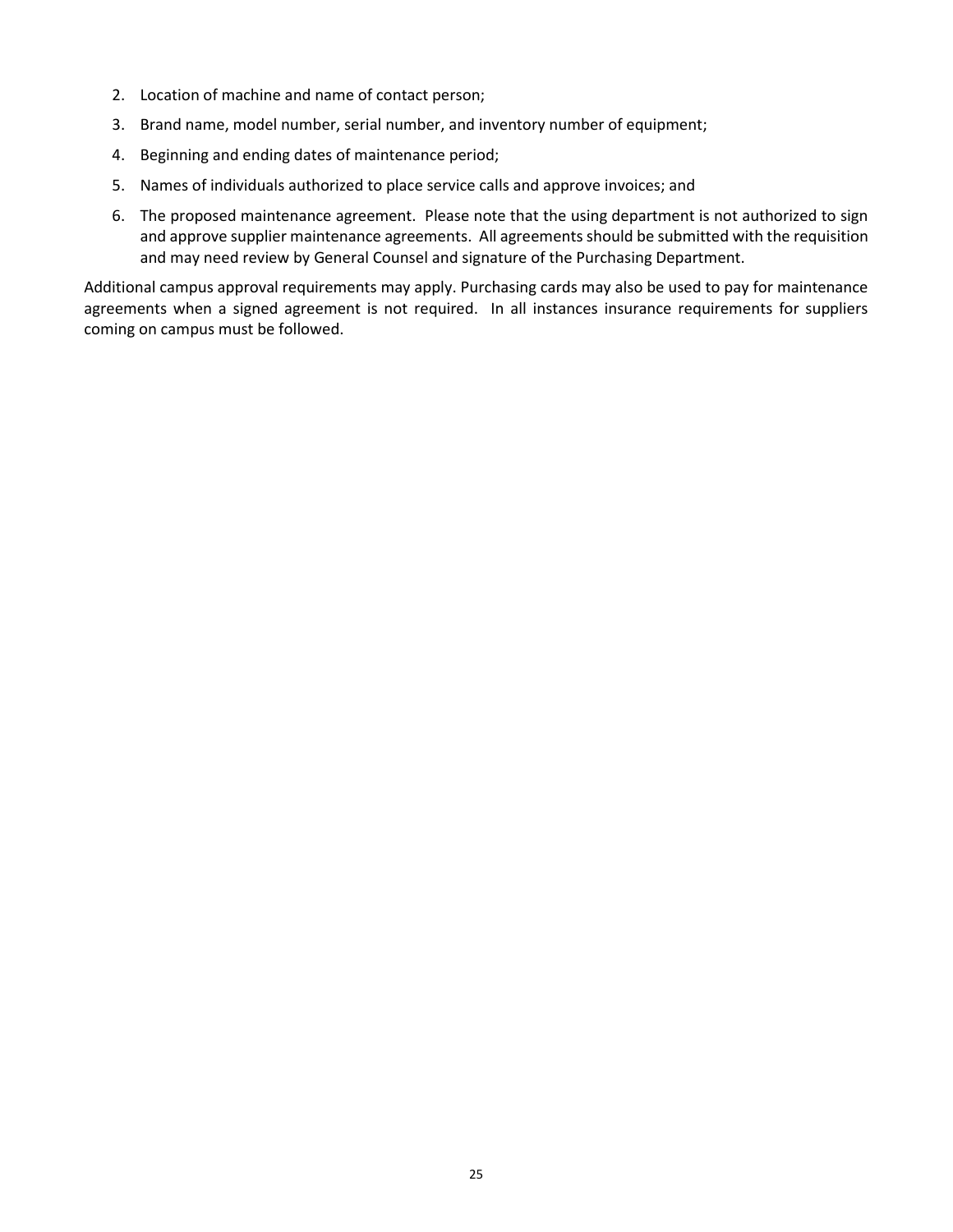- 2. Location of machine and name of contact person;
- 3. Brand name, model number, serial number, and inventory number of equipment;
- 4. Beginning and ending dates of maintenance period;
- 5. Names of individuals authorized to place service calls and approve invoices; and
- 6. The proposed maintenance agreement. Please note that the using department is not authorized to sign and approve supplier maintenance agreements. All agreements should be submitted with the requisition and may need review by General Counsel and signature of the Purchasing Department.

Additional campus approval requirements may apply. Purchasing cards may also be used to pay for maintenance agreements when a signed agreement is not required. In all instances insurance requirements for suppliers coming on campus must be followed.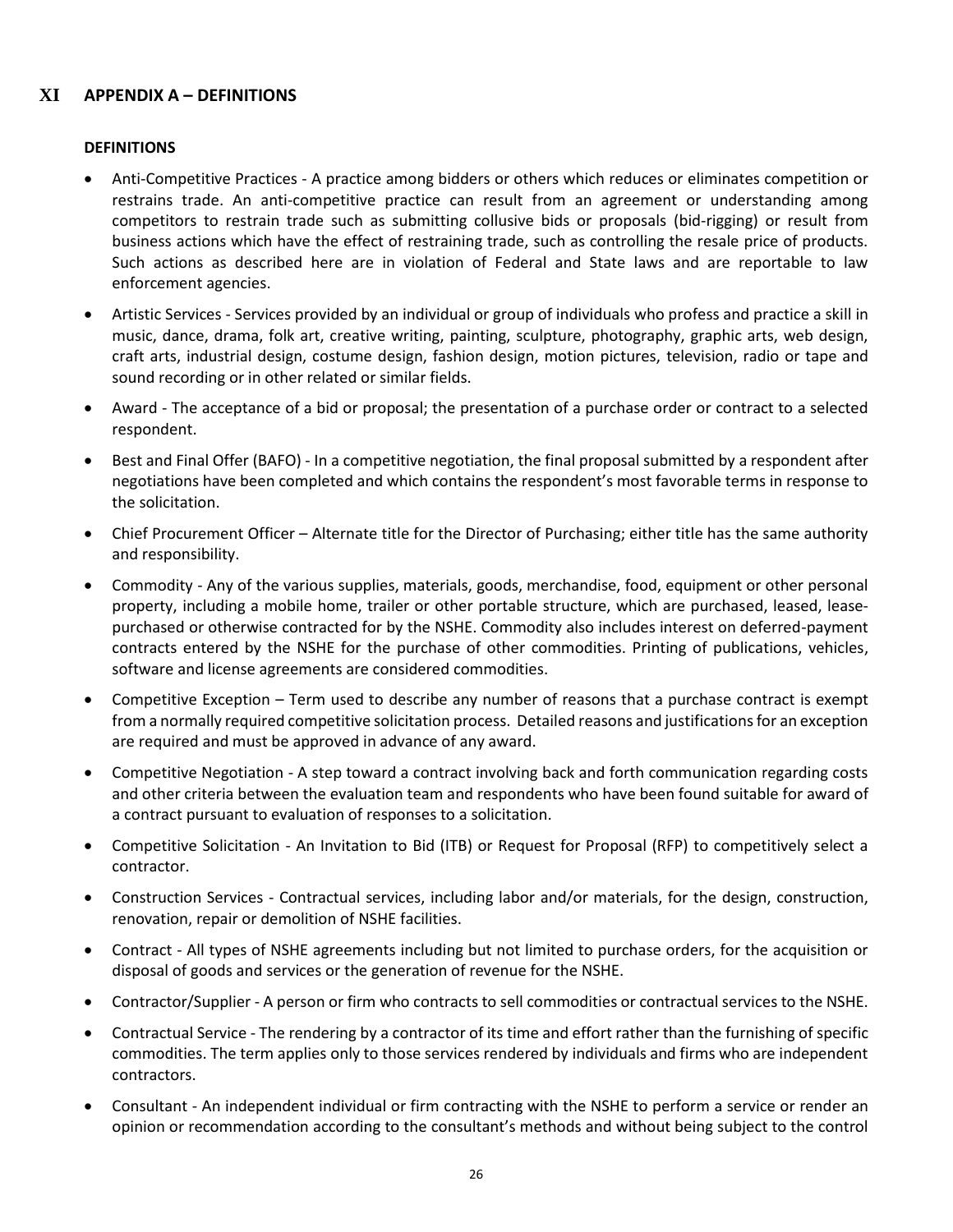# <span id="page-25-0"></span>**XI APPENDIX A – DEFINITIONS**

#### **DEFINITIONS**

- Anti-Competitive Practices A practice among bidders or others which reduces or eliminates competition or restrains trade. An anti-competitive practice can result from an agreement or understanding among competitors to restrain trade such as submitting collusive bids or proposals (bid-rigging) or result from business actions which have the effect of restraining trade, such as controlling the resale price of products. Such actions as described here are in violation of Federal and State laws and are reportable to law enforcement agencies.
- Artistic Services Services provided by an individual or group of individuals who profess and practice a skill in music, dance, drama, folk art, creative writing, painting, sculpture, photography, graphic arts, web design, craft arts, industrial design, costume design, fashion design, motion pictures, television, radio or tape and sound recording or in other related or similar fields.
- Award The acceptance of a bid or proposal; the presentation of a purchase order or contract to a selected respondent.
- Best and Final Offer (BAFO) In a competitive negotiation, the final proposal submitted by a respondent after negotiations have been completed and which contains the respondent's most favorable terms in response to the solicitation.
- Chief Procurement Officer Alternate title for the Director of Purchasing; either title has the same authority and responsibility.
- Commodity Any of the various supplies, materials, goods, merchandise, food, equipment or other personal property, including a mobile home, trailer or other portable structure, which are purchased, leased, leasepurchased or otherwise contracted for by the NSHE. Commodity also includes interest on deferred-payment contracts entered by the NSHE for the purchase of other commodities. Printing of publications, vehicles, software and license agreements are considered commodities.
- Competitive Exception Term used to describe any number of reasons that a purchase contract is exempt from a normally required competitive solicitation process. Detailed reasons and justificationsfor an exception are required and must be approved in advance of any award.
- Competitive Negotiation A step toward a contract involving back and forth communication regarding costs and other criteria between the evaluation team and respondents who have been found suitable for award of a contract pursuant to evaluation of responses to a solicitation.
- Competitive Solicitation An Invitation to Bid (ITB) or Request for Proposal (RFP) to competitively select a contractor.
- Construction Services Contractual services, including labor and/or materials, for the design, construction, renovation, repair or demolition of NSHE facilities.
- Contract All types of NSHE agreements including but not limited to purchase orders, for the acquisition or disposal of goods and services or the generation of revenue for the NSHE.
- Contractor/Supplier A person or firm who contracts to sell commodities or contractual services to the NSHE.
- Contractual Service The rendering by a contractor of its time and effort rather than the furnishing of specific commodities. The term applies only to those services rendered by individuals and firms who are independent contractors.
- Consultant An independent individual or firm contracting with the NSHE to perform a service or render an opinion or recommendation according to the consultant's methods and without being subject to the control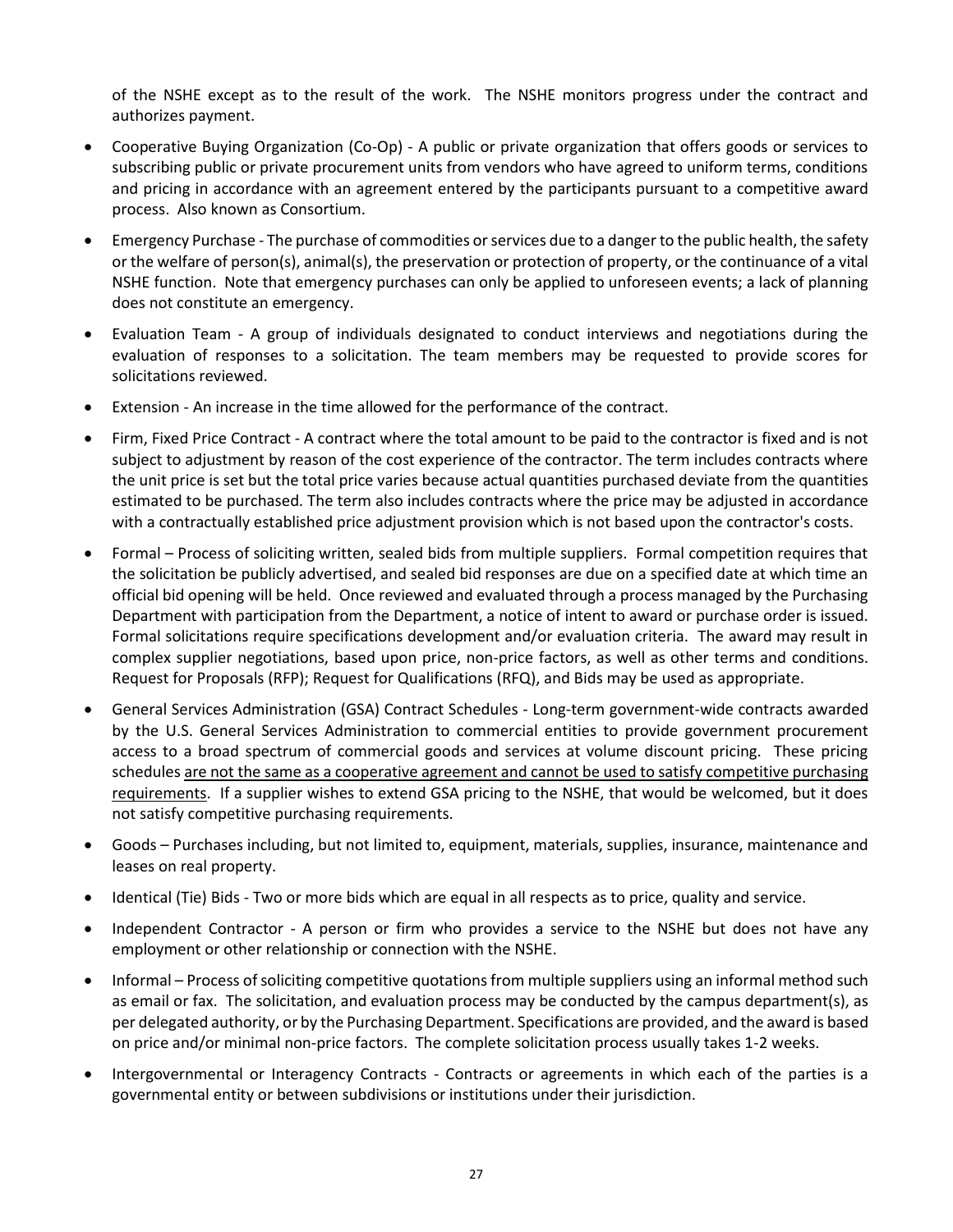of the NSHE except as to the result of the work. The NSHE monitors progress under the contract and authorizes payment.

- Cooperative Buying Organization (Co-Op) A public or private organization that offers goods or services to subscribing public or private procurement units from vendors who have agreed to uniform terms, conditions and pricing in accordance with an agreement entered by the participants pursuant to a competitive award process. Also known as Consortium.
- Emergency Purchase The purchase of commodities or services due to a danger to the public health, the safety or the welfare of person(s), animal(s), the preservation or protection of property, or the continuance of a vital NSHE function. Note that emergency purchases can only be applied to unforeseen events; a lack of planning does not constitute an emergency.
- Evaluation Team A group of individuals designated to conduct interviews and negotiations during the evaluation of responses to a solicitation. The team members may be requested to provide scores for solicitations reviewed.
- Extension An increase in the time allowed for the performance of the contract.
- Firm, Fixed Price Contract A contract where the total amount to be paid to the contractor is fixed and is not subject to adjustment by reason of the cost experience of the contractor. The term includes contracts where the unit price is set but the total price varies because actual quantities purchased deviate from the quantities estimated to be purchased. The term also includes contracts where the price may be adjusted in accordance with a contractually established price adjustment provision which is not based upon the contractor's costs.
- Formal Process of soliciting written, sealed bids from multiple suppliers. Formal competition requires that the solicitation be publicly advertised, and sealed bid responses are due on a specified date at which time an official bid opening will be held. Once reviewed and evaluated through a process managed by the Purchasing Department with participation from the Department, a notice of intent to award or purchase order is issued. Formal solicitations require specifications development and/or evaluation criteria. The award may result in complex supplier negotiations, based upon price, non-price factors, as well as other terms and conditions. Request for Proposals (RFP); Request for Qualifications (RFQ), and Bids may be used as appropriate.
- General Services Administration (GSA) Contract Schedules Long-term government-wide contracts awarded by the U.S. General Services Administration to commercial entities to provide government procurement access to a broad spectrum of commercial goods and services at volume discount pricing. These pricing schedules are not the same as a cooperative agreement and cannot be used to satisfy competitive purchasing requirements. If a supplier wishes to extend GSA pricing to the NSHE, that would be welcomed, but it does not satisfy competitive purchasing requirements.
- Goods Purchases including, but not limited to, equipment, materials, supplies, insurance, maintenance and leases on real property.
- Identical (Tie) Bids Two or more bids which are equal in all respects as to price, quality and service.
- Independent Contractor A person or firm who provides a service to the NSHE but does not have any employment or other relationship or connection with the NSHE.
- Informal Process of soliciting competitive quotations from multiple suppliers using an informal method such as email or fax. The solicitation, and evaluation process may be conducted by the campus department(s), as per delegated authority, or by the Purchasing Department. Specifications are provided, and the award is based on price and/or minimal non-price factors. The complete solicitation process usually takes 1-2 weeks.
- Intergovernmental or Interagency Contracts Contracts or agreements in which each of the parties is a governmental entity or between subdivisions or institutions under their jurisdiction.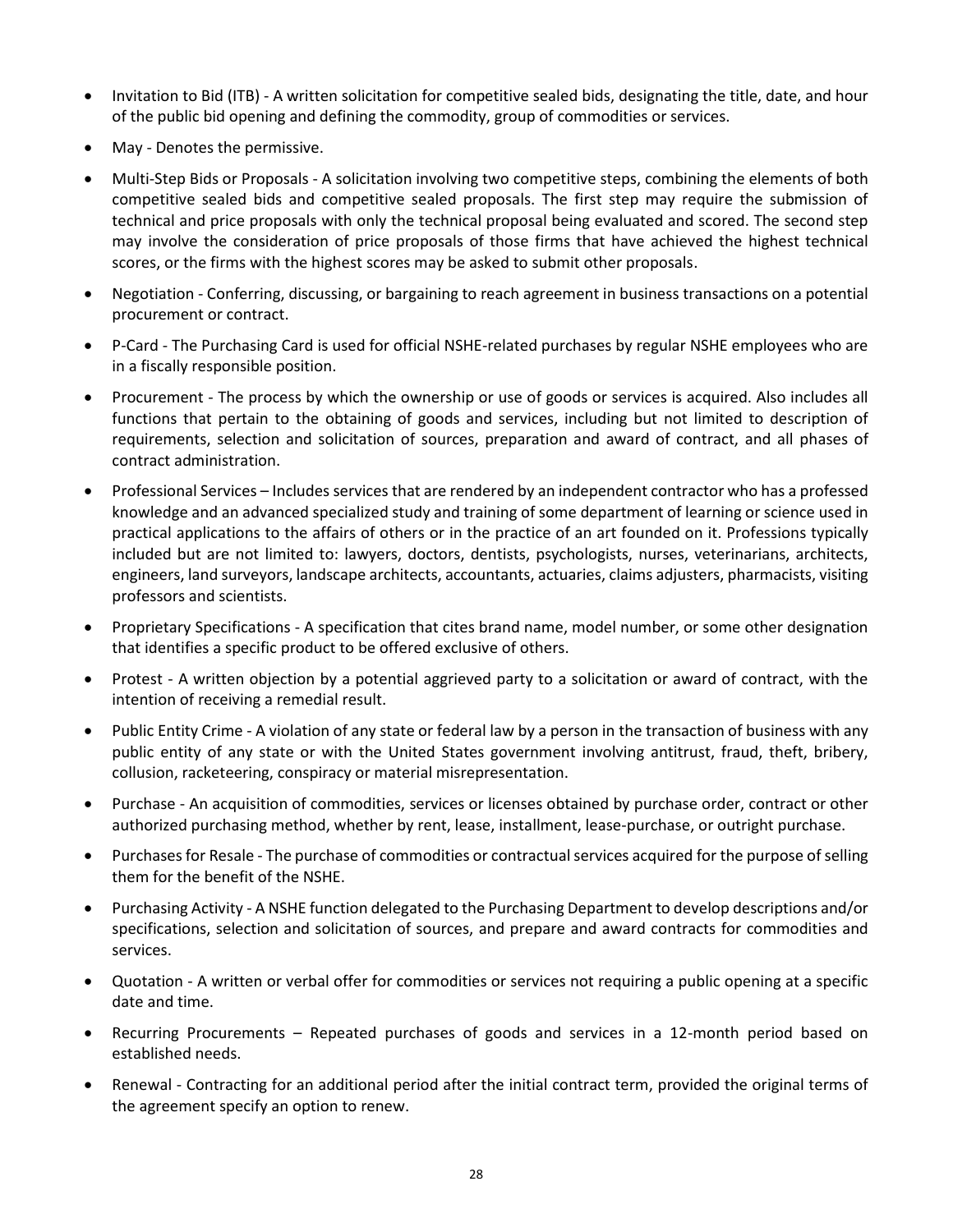- Invitation to Bid (ITB) A written solicitation for competitive sealed bids, designating the title, date, and hour of the public bid opening and defining the commodity, group of commodities or services.
- May Denotes the permissive.
- Multi-Step Bids or Proposals A solicitation involving two competitive steps, combining the elements of both competitive sealed bids and competitive sealed proposals. The first step may require the submission of technical and price proposals with only the technical proposal being evaluated and scored. The second step may involve the consideration of price proposals of those firms that have achieved the highest technical scores, or the firms with the highest scores may be asked to submit other proposals.
- Negotiation Conferring, discussing, or bargaining to reach agreement in business transactions on a potential procurement or contract.
- P-Card The Purchasing Card is used for official NSHE-related purchases by regular NSHE employees who are in a fiscally responsible position.
- Procurement The process by which the ownership or use of goods or services is acquired. Also includes all functions that pertain to the obtaining of goods and services, including but not limited to description of requirements, selection and solicitation of sources, preparation and award of contract, and all phases of contract administration.
- Professional Services Includes services that are rendered by an independent contractor who has a professed knowledge and an advanced specialized study and training of some department of learning or science used in practical applications to the affairs of others or in the practice of an art founded on it. Professions typically included but are not limited to: lawyers, doctors, dentists, psychologists, nurses, veterinarians, architects, engineers, land surveyors, landscape architects, accountants, actuaries, claims adjusters, pharmacists, visiting professors and scientists.
- Proprietary Specifications A specification that cites brand name, model number, or some other designation that identifies a specific product to be offered exclusive of others.
- Protest A written objection by a potential aggrieved party to a solicitation or award of contract, with the intention of receiving a remedial result.
- Public Entity Crime A violation of any state or federal law by a person in the transaction of business with any public entity of any state or with the United States government involving antitrust, fraud, theft, bribery, collusion, racketeering, conspiracy or material misrepresentation.
- Purchase An acquisition of commodities, services or licenses obtained by purchase order, contract or other authorized purchasing method, whether by rent, lease, installment, lease-purchase, or outright purchase.
- Purchases for Resale The purchase of commodities or contractual services acquired for the purpose of selling them for the benefit of the NSHE.
- Purchasing Activity A NSHE function delegated to the Purchasing Department to develop descriptions and/or specifications, selection and solicitation of sources, and prepare and award contracts for commodities and services.
- Quotation A written or verbal offer for commodities or services not requiring a public opening at a specific date and time.
- Recurring Procurements Repeated purchases of goods and services in a 12-month period based on established needs.
- Renewal Contracting for an additional period after the initial contract term, provided the original terms of the agreement specify an option to renew.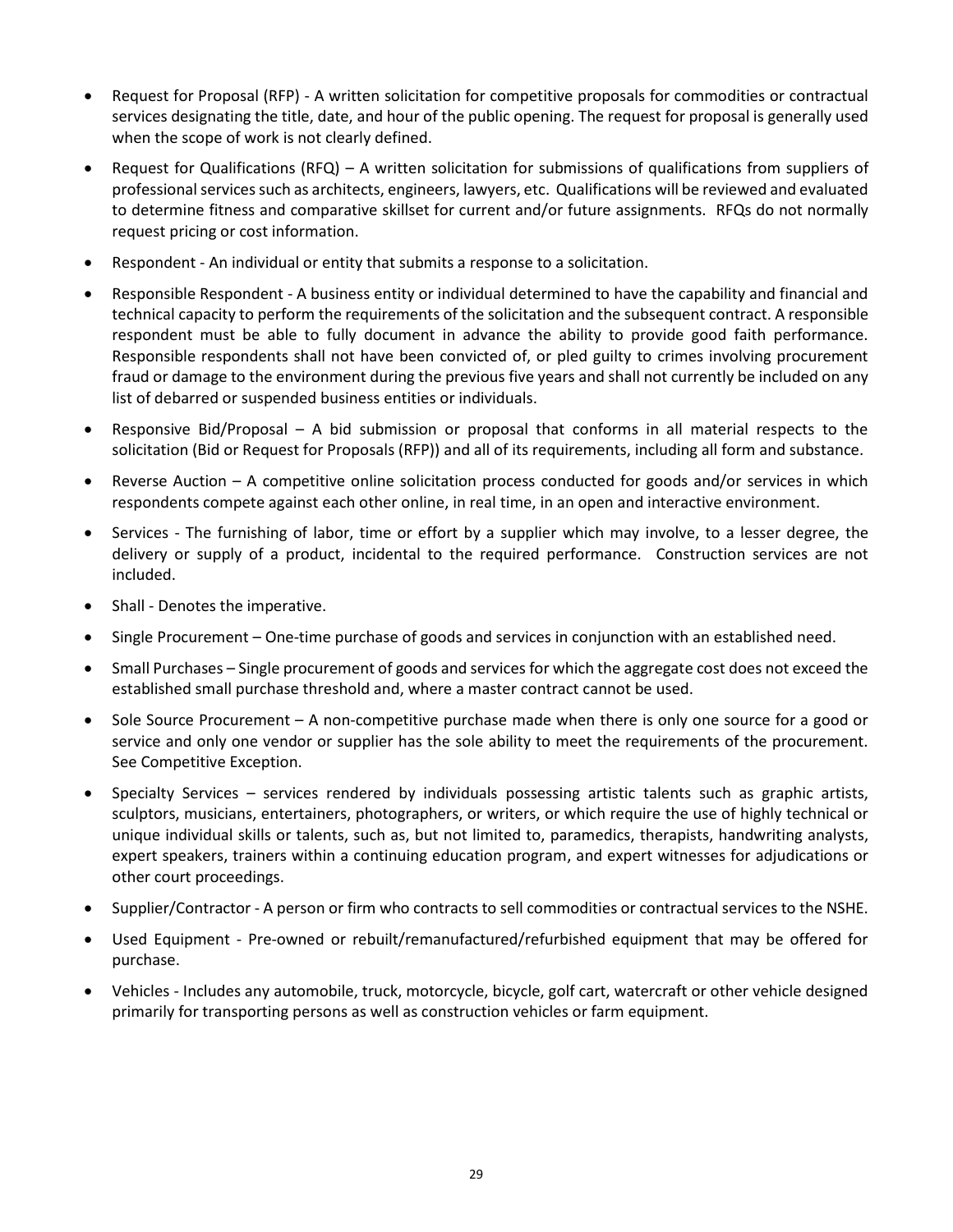- Request for Proposal (RFP) A written solicitation for competitive proposals for commodities or contractual services designating the title, date, and hour of the public opening. The request for proposal is generally used when the scope of work is not clearly defined.
- Request for Qualifications (RFQ) A written solicitation for submissions of qualifications from suppliers of professional services such as architects, engineers, lawyers, etc. Qualifications will be reviewed and evaluated to determine fitness and comparative skillset for current and/or future assignments. RFQs do not normally request pricing or cost information.
- Respondent An individual or entity that submits a response to a solicitation.
- Responsible Respondent A business entity or individual determined to have the capability and financial and technical capacity to perform the requirements of the solicitation and the subsequent contract. A responsible respondent must be able to fully document in advance the ability to provide good faith performance. Responsible respondents shall not have been convicted of, or pled guilty to crimes involving procurement fraud or damage to the environment during the previous five years and shall not currently be included on any list of debarred or suspended business entities or individuals.
- Responsive Bid/Proposal A bid submission or proposal that conforms in all material respects to the solicitation (Bid or Request for Proposals (RFP)) and all of its requirements, including all form and substance.
- Reverse Auction A competitive online solicitation process conducted for goods and/or services in which respondents compete against each other online, in real time, in an open and interactive environment.
- Services The furnishing of labor, time or effort by a supplier which may involve, to a lesser degree, the delivery or supply of a product, incidental to the required performance. Construction services are not included.
- Shall Denotes the imperative.
- Single Procurement One-time purchase of goods and services in conjunction with an established need.
- Small Purchases Single procurement of goods and services for which the aggregate cost does not exceed the established small purchase threshold and, where a master contract cannot be used.
- Sole Source Procurement A non-competitive purchase made when there is only one source for a good or service and only one vendor or supplier has the sole ability to meet the requirements of the procurement. See Competitive Exception.
- Specialty Services services rendered by individuals possessing artistic talents such as graphic artists, sculptors, musicians, entertainers, photographers, or writers, or which require the use of highly technical or unique individual skills or talents, such as, but not limited to, paramedics, therapists, handwriting analysts, expert speakers, trainers within a continuing education program, and expert witnesses for adjudications or other court proceedings.
- Supplier/Contractor A person or firm who contracts to sell commodities or contractual services to the NSHE.
- Used Equipment Pre-owned or rebuilt/remanufactured/refurbished equipment that may be offered for purchase.
- Vehicles Includes any automobile, truck, motorcycle, bicycle, golf cart, watercraft or other vehicle designed primarily for transporting persons as well as construction vehicles or farm equipment.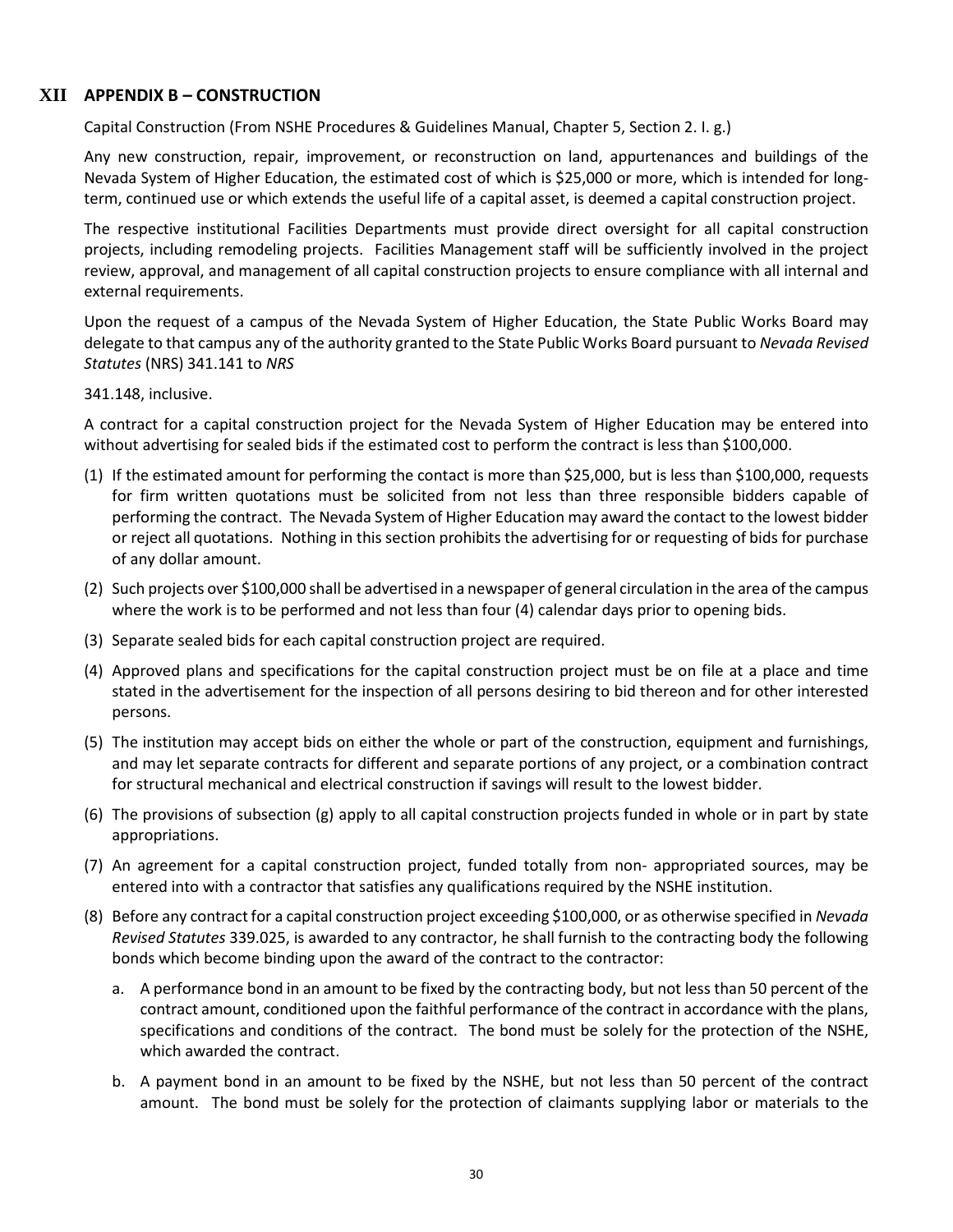# **XII APPENDIX B – CONSTRUCTION**

<span id="page-29-0"></span>Capital Construction (From NSHE Procedures & Guidelines Manual, Chapter 5, Section 2. I. g.)

Any new construction, repair, improvement, or reconstruction on land, appurtenances and buildings of the Nevada System of Higher Education, the estimated cost of which is \$25,000 or more, which is intended for longterm, continued use or which extends the useful life of a capital asset, is deemed a capital construction project.

The respective institutional Facilities Departments must provide direct oversight for all capital construction projects, including remodeling projects. Facilities Management staff will be sufficiently involved in the project review, approval, and management of all capital construction projects to ensure compliance with all internal and external requirements.

Upon the request of a campus of the Nevada System of Higher Education, the State Public Works Board may delegate to that campus any of the authority granted to the State Public Works Board pursuant to *Nevada Revised Statutes* (NRS) 341.141 to *NRS*

341.148, inclusive.

A contract for a capital construction project for the Nevada System of Higher Education may be entered into without advertising for sealed bids if the estimated cost to perform the contract is less than \$100,000.

- (1) If the estimated amount for performing the contact is more than \$25,000, but is less than \$100,000, requests for firm written quotations must be solicited from not less than three responsible bidders capable of performing the contract. The Nevada System of Higher Education may award the contact to the lowest bidder or reject all quotations. Nothing in this section prohibits the advertising for or requesting of bids for purchase of any dollar amount.
- (2) Such projects over \$100,000 shall be advertised in a newspaper of general circulation in the area of the campus where the work is to be performed and not less than four (4) calendar days prior to opening bids.
- (3) Separate sealed bids for each capital construction project are required.
- (4) Approved plans and specifications for the capital construction project must be on file at a place and time stated in the advertisement for the inspection of all persons desiring to bid thereon and for other interested persons.
- (5) The institution may accept bids on either the whole or part of the construction, equipment and furnishings, and may let separate contracts for different and separate portions of any project, or a combination contract for structural mechanical and electrical construction if savings will result to the lowest bidder.
- (6) The provisions of subsection (g) apply to all capital construction projects funded in whole or in part by state appropriations.
- (7) An agreement for a capital construction project, funded totally from non- appropriated sources, may be entered into with a contractor that satisfies any qualifications required by the NSHE institution.
- (8) Before any contract for a capital construction project exceeding \$100,000, or as otherwise specified in *Nevada Revised Statutes* 339.025, is awarded to any contractor, he shall furnish to the contracting body the following bonds which become binding upon the award of the contract to the contractor:
	- a. A performance bond in an amount to be fixed by the contracting body, but not less than 50 percent of the contract amount, conditioned upon the faithful performance of the contract in accordance with the plans, specifications and conditions of the contract. The bond must be solely for the protection of the NSHE, which awarded the contract.
	- b. A payment bond in an amount to be fixed by the NSHE, but not less than 50 percent of the contract amount. The bond must be solely for the protection of claimants supplying labor or materials to the